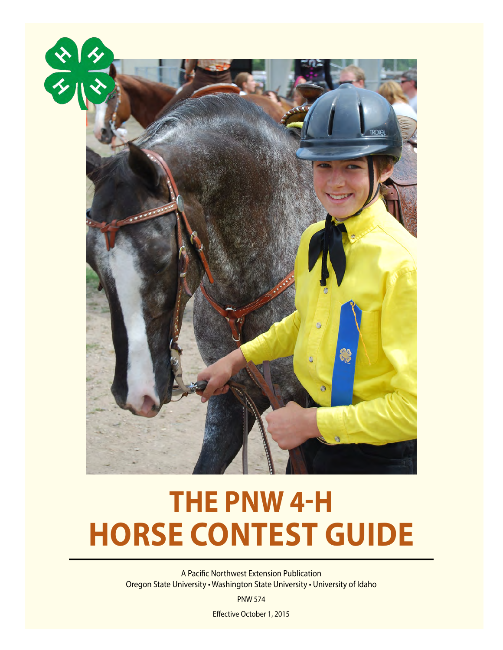

# **THE PNW 4-H HORSE CONTEST GUIDE**

TROKe

**MA** 

A Pacific Northwest Extension Publication Oregon State University • Washington State University • University of Idaho

PNW 574

Effective October 1, 2015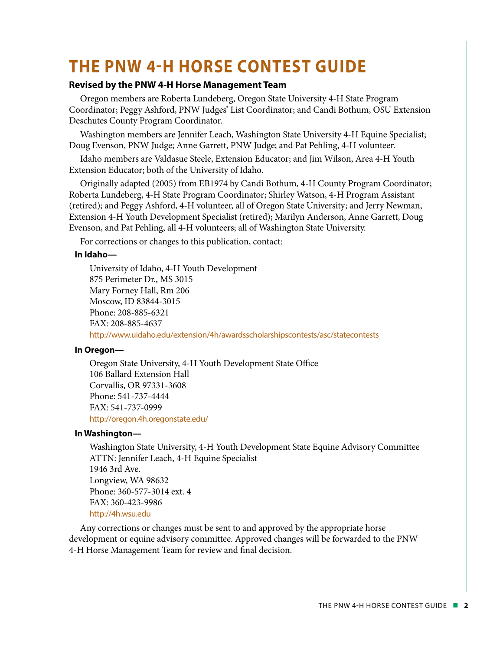# **THE PNW 4-H HORSE CONTEST GUIDE**

#### **Revised by the PNW 4-H Horse Management Team**

Oregon members are Roberta Lundeberg, Oregon State University 4-H State Program Coordinator; Peggy Ashford, PNW Judges' List Coordinator; and Candi Bothum, OSU Extension Deschutes County Program Coordinator.

Washington members are Jennifer Leach, Washington State University 4-H Equine Specialist; Doug Evenson, PNW Judge; Anne Garrett, PNW Judge; and Pat Pehling, 4-H volunteer.

Idaho members are Valdasue Steele, Extension Educator; and Jim Wilson, Area 4-H Youth Extension Educator; both of the University of Idaho.

Originally adapted (2005) from EB1974 by Candi Bothum, 4-H County Program Coordinator; Roberta Lundeberg, 4-H State Program Coordinator; Shirley Watson, 4-H Program Assistant (retired); and Peggy Ashford, 4-H volunteer, all of Oregon State University; and Jerry Newman, Extension 4-H Youth Development Specialist (retired); Marilyn Anderson, Anne Garrett, Doug Evenson, and Pat Pehling, all 4-H volunteers; all of Washington State University.

For corrections or changes to this publication, contact:

#### **In Idaho—**

University of Idaho, 4-H Youth Development 875 Perimeter Dr., MS 3015 Mary Forney Hall, Rm 206 Moscow, ID 83844-3015 Phone: 208-885-6321 FAX: 208-885-4637 <http://www.uidaho.edu/extension/4h/awardsscholarshipscontests/asc/statecontests>

#### **In Oregon—**

Oregon State University, 4-H Youth Development State Office 106 Ballard Extension Hall Corvallis, OR 97331-3608 Phone: 541-737-4444 FAX: 541-737-0999 <http://oregon.4h.oregonstate.edu/>

#### **In Washington—**

Washington State University, 4-H Youth Development State Equine Advisory Committee ATTN: Jennifer Leach, 4-H Equine Specialist 1946 3rd Ave. Longview, WA 98632 Phone: 360-577-3014 ext. 4 FAX: 360-423-9986 <http://4h.wsu.edu>

Any corrections or changes must be sent to and approved by the appropriate horse development or equine advisory committee. Approved changes will be forwarded to the PNW 4-H Horse Management Team for review and final decision.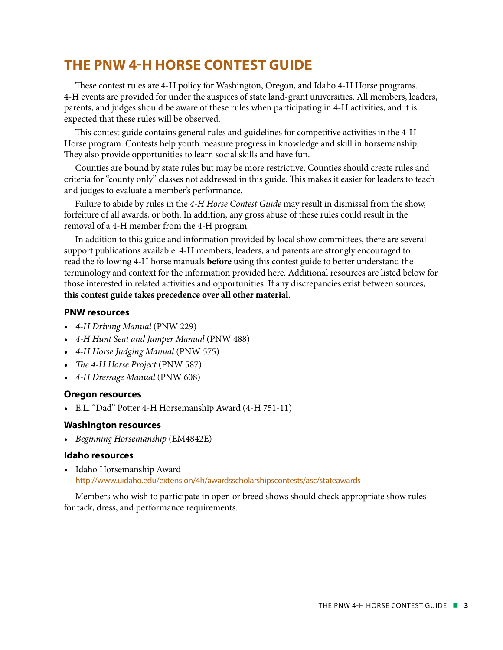# **THE PNW 4-H HORSE CONTEST GUIDE**

These contest rules are 4-H policy for Washington, Oregon, and Idaho 4-H Horse programs. 4-H events are provided for under the auspices of state land-grant universities. All members, leaders, parents, and judges should be aware of these rules when participating in 4-H activities, and it is expected that these rules will be observed.

This contest guide contains general rules and guidelines for competitive activities in the 4-H Horse program. Contests help youth measure progress in knowledge and skill in horsemanship. They also provide opportunities to learn social skills and have fun.

Counties are bound by state rules but may be more restrictive. Counties should create rules and criteria for "county only" classes not addressed in this guide. This makes it easier for leaders to teach and judges to evaluate a member's performance.

Failure to abide by rules in the *4-H Horse Contest Guide* may result in dismissal from the show, forfeiture of all awards, or both. In addition, any gross abuse of these rules could result in the removal of a 4-H member from the 4-H program.

In addition to this guide and information provided by local show committees, there are several support publications available. 4-H members, leaders, and parents are strongly encouraged to read the following 4-H horse manuals **before** using this contest guide to better understand the terminology and context for the information provided here. Additional resources are listed below for those interested in related activities and opportunities. If any discrepancies exist between sources, **this contest guide takes precedence over all other material**.

#### **PNW resources**

- *4-H Driving Manual* (PNW 229)
- *4-H Hunt Seat and Jumper Manual* (PNW 488)
- *4-H Horse Judging Manual* (PNW 575)
- *The 4-H Horse Project* (PNW 587)
- *4-H Dressage Manual* (PNW 608)

#### **Oregon resources**

• E.L. "Dad" Potter 4-H Horsemanship Award (4-H 751-11)

#### **Washington resources**

• *Beginning Horsemanship* (EM4842E)

#### **Idaho resources**

• Idaho Horsemanship Award <http://www.uidaho.edu/extension/4h/awardsscholarshipscontests/asc/stateawards>

Members who wish to participate in open or breed shows should check appropriate show rules for tack, dress, and performance requirements.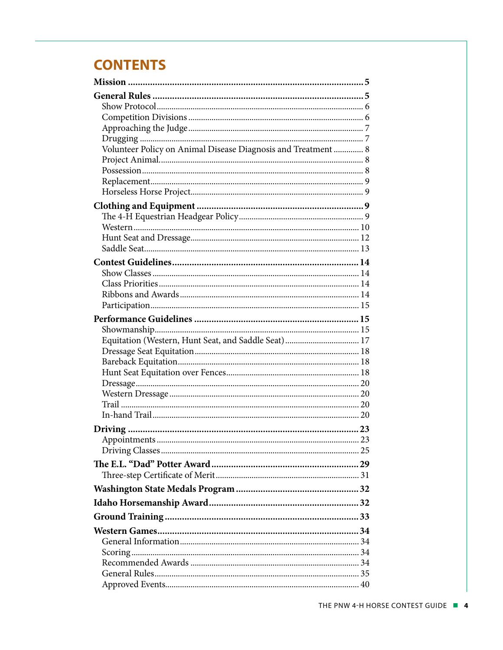# **CONTENTS**

| Volunteer Policy on Animal Disease Diagnosis and Treatment  8 |  |
|---------------------------------------------------------------|--|
|                                                               |  |
|                                                               |  |
|                                                               |  |
|                                                               |  |
|                                                               |  |
|                                                               |  |
|                                                               |  |
|                                                               |  |
|                                                               |  |
|                                                               |  |
|                                                               |  |
|                                                               |  |
|                                                               |  |
|                                                               |  |
|                                                               |  |
|                                                               |  |
|                                                               |  |
|                                                               |  |
|                                                               |  |
|                                                               |  |
|                                                               |  |
|                                                               |  |
|                                                               |  |
|                                                               |  |
|                                                               |  |
|                                                               |  |
|                                                               |  |
|                                                               |  |
|                                                               |  |
|                                                               |  |
|                                                               |  |
|                                                               |  |
|                                                               |  |
|                                                               |  |
|                                                               |  |
|                                                               |  |
|                                                               |  |
|                                                               |  |
|                                                               |  |
|                                                               |  |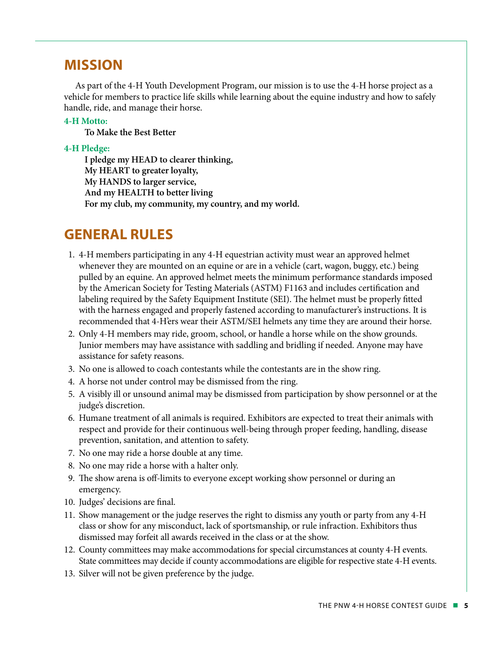# **MISSION**

As part of the 4-H Youth Development Program, our mission is to use the 4-H horse project as a vehicle for members to practice life skills while learning about the equine industry and how to safely handle, ride, and manage their horse.

#### **4-H Motto:**

**To Make the Best Better**

#### **4-H Pledge:**

**I pledge my HEAD to clearer thinking, My HEART to greater loyalty, My HANDS to larger service, And my HEALTH to better living For my club, my community, my country, and my world.**

# **GENERAL RULES**

- 1. 4-H members participating in any 4-H equestrian activity must wear an approved helmet whenever they are mounted on an equine or are in a vehicle (cart, wagon, buggy, etc.) being pulled by an equine. An approved helmet meets the minimum performance standards imposed by the American Society for Testing Materials (ASTM) F1163 and includes certification and labeling required by the Safety Equipment Institute (SEI). The helmet must be properly fitted with the harness engaged and properly fastened according to manufacturer's instructions. It is recommended that 4-H'ers wear their ASTM/SEI helmets any time they are around their horse.
- 2. Only 4-H members may ride, groom, school, or handle a horse while on the show grounds. Junior members may have assistance with saddling and bridling if needed. Anyone may have assistance for safety reasons.
- 3. No one is allowed to coach contestants while the contestants are in the show ring.
- 4. A horse not under control may be dismissed from the ring.
- 5. A visibly ill or unsound animal may be dismissed from participation by show personnel or at the judge's discretion.
- 6. Humane treatment of all animals is required. Exhibitors are expected to treat their animals with respect and provide for their continuous well-being through proper feeding, handling, disease prevention, sanitation, and attention to safety.
- 7. No one may ride a horse double at any time.
- 8. No one may ride a horse with a halter only.
- 9. The show arena is off-limits to everyone except working show personnel or during an emergency.
- 10. Judges' decisions are final.
- 11. Show management or the judge reserves the right to dismiss any youth or party from any 4-H class or show for any misconduct, lack of sportsmanship, or rule infraction. Exhibitors thus dismissed may forfeit all awards received in the class or at the show.
- 12. County committees may make accommodations for special circumstances at county 4-H events. State committees may decide if county accommodations are eligible for respective state 4-H events.
- 13. Silver will not be given preference by the judge.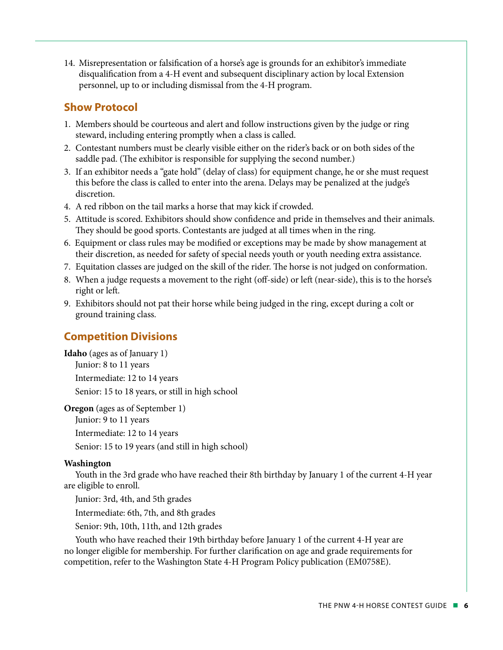14. Misrepresentation or falsification of a horse's age is grounds for an exhibitor's immediate disqualification from a 4-H event and subsequent disciplinary action by local Extension personnel, up to or including dismissal from the 4-H program.

### **Show Protocol**

- 1. Members should be courteous and alert and follow instructions given by the judge or ring steward, including entering promptly when a class is called.
- 2. Contestant numbers must be clearly visible either on the rider's back or on both sides of the saddle pad. (The exhibitor is responsible for supplying the second number.)
- 3. If an exhibitor needs a "gate hold" (delay of class) for equipment change, he or she must request this before the class is called to enter into the arena. Delays may be penalized at the judge's discretion.
- 4. A red ribbon on the tail marks a horse that may kick if crowded.
- 5. Attitude is scored. Exhibitors should show confidence and pride in themselves and their animals. They should be good sports. Contestants are judged at all times when in the ring.
- 6. Equipment or class rules may be modified or exceptions may be made by show management at their discretion, as needed for safety of special needs youth or youth needing extra assistance.
- 7. Equitation classes are judged on the skill of the rider. The horse is not judged on conformation.
- 8. When a judge requests a movement to the right (off-side) or left (near-side), this is to the horse's right or left.
- 9. Exhibitors should not pat their horse while being judged in the ring, except during a colt or ground training class.

### **Competition Divisions**

**Idaho** (ages as of January 1) Junior: 8 to 11 years Intermediate: 12 to 14 years Senior: 15 to 18 years, or still in high school

**Oregon** (ages as of September 1) Junior: 9 to 11 years Intermediate: 12 to 14 years Senior: 15 to 19 years (and still in high school)

#### **Washington**

Youth in the 3rd grade who have reached their 8th birthday by January 1 of the current 4-H year are eligible to enroll.

Junior: 3rd, 4th, and 5th grades

Intermediate: 6th, 7th, and 8th grades

Senior: 9th, 10th, 11th, and 12th grades

Youth who have reached their 19th birthday before January 1 of the current 4-H year are no longer eligible for membership. For further clarification on age and grade requirements for competition, refer to the Washington State 4-H Program Policy publication (EM0758E).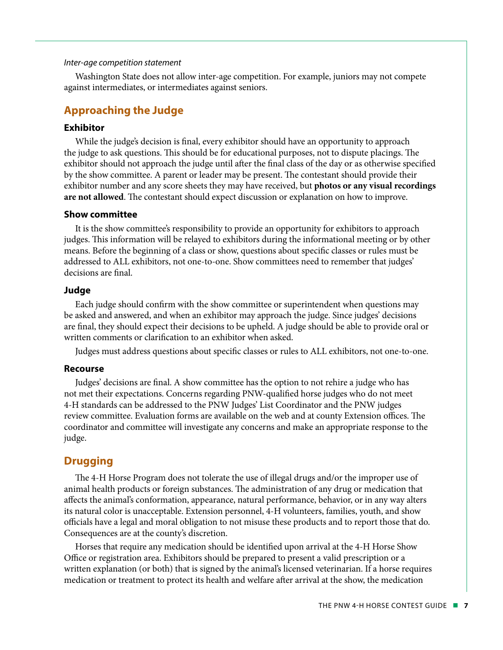#### *Inter-age competition statement*

Washington State does not allow inter-age competition. For example, juniors may not compete against intermediates, or intermediates against seniors.

#### **Approaching the Judge**

#### **Exhibitor**

While the judge's decision is final, every exhibitor should have an opportunity to approach the judge to ask questions. This should be for educational purposes, not to dispute placings. The exhibitor should not approach the judge until after the final class of the day or as otherwise specified by the show committee. A parent or leader may be present. The contestant should provide their exhibitor number and any score sheets they may have received, but **photos or any visual recordings are not allowed**. The contestant should expect discussion or explanation on how to improve.

#### **Show committee**

It is the show committee's responsibility to provide an opportunity for exhibitors to approach judges. This information will be relayed to exhibitors during the informational meeting or by other means. Before the beginning of a class or show, questions about specific classes or rules must be addressed to ALL exhibitors, not one-to-one. Show committees need to remember that judges' decisions are final.

#### **Judge**

Each judge should confirm with the show committee or superintendent when questions may be asked and answered, and when an exhibitor may approach the judge. Since judges' decisions are final, they should expect their decisions to be upheld. A judge should be able to provide oral or written comments or clarification to an exhibitor when asked.

Judges must address questions about specific classes or rules to ALL exhibitors, not one-to-one.

#### **Recourse**

Judges' decisions are final. A show committee has the option to not rehire a judge who has not met their expectations. Concerns regarding PNW-qualified horse judges who do not meet 4-H standards can be addressed to the PNW Judges' List Coordinator and the PNW judges review committee. Evaluation forms are available on the web and at county Extension offices. The coordinator and committee will investigate any concerns and make an appropriate response to the judge.

#### **Drugging**

The 4-H Horse Program does not tolerate the use of illegal drugs and/or the improper use of animal health products or foreign substances. The administration of any drug or medication that affects the animal's conformation, appearance, natural performance, behavior, or in any way alters its natural color is unacceptable. Extension personnel, 4-H volunteers, families, youth, and show officials have a legal and moral obligation to not misuse these products and to report those that do. Consequences are at the county's discretion.

Horses that require any medication should be identified upon arrival at the 4-H Horse Show Office or registration area. Exhibitors should be prepared to present a valid prescription or a written explanation (or both) that is signed by the animal's licensed veterinarian. If a horse requires medication or treatment to protect its health and welfare after arrival at the show, the medication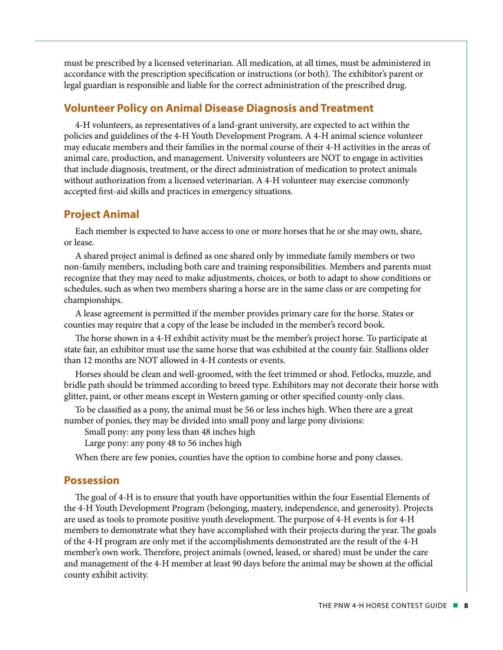must be prescribed by a licensed veterinarian. All medication, at all times, must be administered in accordance with the prescription specification or instructions (or both). The exhibitor's parent or legal guardian is responsible and liable for the correct administration of the prescribed drug.

#### **Volunteer Policy on Animal Disease Diagnosis and Treatment**

4-H volunteers, as representatives of a land-grant university, are expected to act within the policies and guidelines of the 4-H Youth Development Program. A 4-H animal science volunteer may educate members and their families in the normal course of their 4-H activities in the areas of animal care, production, and management. University volunteers are NOT to engage in activities that include diagnosis, treatment, or the direct administration of medication to protect animals without authorization from a licensed veterinarian. A 4-H volunteer may exercise commonly accepted first-aid skills and practices in emergency situations.

#### **Project Animal**

Each member is expected to have access to one or more horses that he or she may own, share, or lease.

A shared project animal is defined as one shared only by immediate family members or two non-family members, including both care and training responsibilities. Members and parents must recognize that they may need to make adjustments, choices, or both to adapt to show conditions or schedules, such as when two members sharing a horse are in the same class or are competing for championships.

A lease agreement is permitted if the member provides primary care for the horse. States or counties may require that a copy of the lease be included in the member's record book.

The horse shown in a 4-H exhibit activity must be the member's project horse. To participate at state fair, an exhibitor must use the same horse that was exhibited at the county fair. Stallions older than 12 months are NOT allowed in 4-H contests or events.

Horses should be clean and well-groomed, with the feet trimmed or shod. Fetlocks, muzzle, and bridle path should be trimmed according to breed type. Exhibitors may not decorate their horse with glitter, paint, or other means except in Western gaming or other specified county-only class.

To be classified as a pony, the animal must be 56 or less inches high. When there are a great number of ponies, they may be divided into small pony and large pony divisions:

Small pony: any pony less than 48 inches high

Large pony: any pony 48 to 56 inches high

When there are few ponies, counties have the option to combine horse and pony classes.

#### **Possession**

The goal of 4-H is to ensure that youth have opportunities within the four Essential Elements of the 4-H Youth Development Program (belonging, mastery, independence, and generosity). Projects are used as tools to promote positive youth development. The purpose of 4-H events is for 4-H members to demonstrate what they have accomplished with their projects during the year. The goals of the 4-H program are only met if the accomplishments demonstrated are the result of the 4-H member's own work. Therefore, project animals (owned, leased, or shared) must be under the care and management of the 4-H member at least 90 days before the animal may be shown at the official county exhibit activity.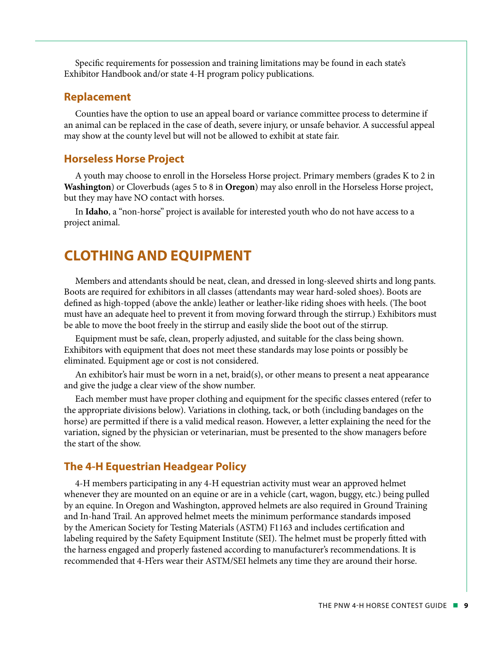Specific requirements for possession and training limitations may be found in each state's Exhibitor Handbook and/or state 4-H program policy publications.

#### **Replacement**

Counties have the option to use an appeal board or variance committee process to determine if an animal can be replaced in the case of death, severe injury, or unsafe behavior. A successful appeal may show at the county level but will not be allowed to exhibit at state fair.

#### **Horseless Horse Project**

A youth may choose to enroll in the Horseless Horse project. Primary members (grades K to 2 in **Washington**) or Cloverbuds (ages 5 to 8 in **Oregon**) may also enroll in the Horseless Horse project, but they may have NO contact with horses.

In **Idaho**, a "non-horse" project is available for interested youth who do not have access to a project animal.

# **CLOTHING AND EQUIPMENT**

Members and attendants should be neat, clean, and dressed in long-sleeved shirts and long pants. Boots are required for exhibitors in all classes (attendants may wear hard-soled shoes). Boots are defined as high-topped (above the ankle) leather or leather-like riding shoes with heels. (The boot must have an adequate heel to prevent it from moving forward through the stirrup.) Exhibitors must be able to move the boot freely in the stirrup and easily slide the boot out of the stirrup.

Equipment must be safe, clean, properly adjusted, and suitable for the class being shown. Exhibitors with equipment that does not meet these standards may lose points or possibly be eliminated. Equipment age or cost is not considered.

An exhibitor's hair must be worn in a net, braid(s), or other means to present a neat appearance and give the judge a clear view of the show number.

Each member must have proper clothing and equipment for the specific classes entered (refer to the appropriate divisions below). Variations in clothing, tack, or both (including bandages on the horse) are permitted if there is a valid medical reason. However, a letter explaining the need for the variation, signed by the physician or veterinarian, must be presented to the show managers before the start of the show.

#### **The 4-H Equestrian Headgear Policy**

4-H members participating in any 4-H equestrian activity must wear an approved helmet whenever they are mounted on an equine or are in a vehicle (cart, wagon, buggy, etc.) being pulled by an equine. In Oregon and Washington, approved helmets are also required in Ground Training and In-hand Trail. An approved helmet meets the minimum performance standards imposed by the American Society for Testing Materials (ASTM) F1163 and includes certification and labeling required by the Safety Equipment Institute (SEI). The helmet must be properly fitted with the harness engaged and properly fastened according to manufacturer's recommendations. It is recommended that 4-H'ers wear their ASTM/SEI helmets any time they are around their horse.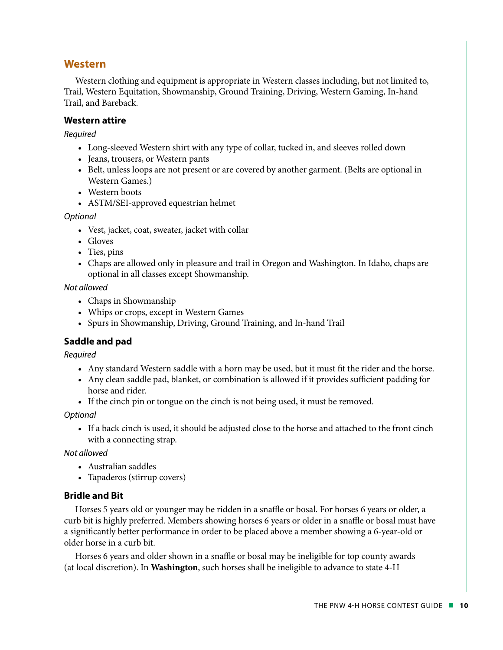#### **Western**

Western clothing and equipment is appropriate in Western classes including, but not limited to, Trail, Western Equitation, Showmanship, Ground Training, Driving, Western Gaming, In-hand Trail, and Bareback.

#### **Western attire**

*Required* 

- Long-sleeved Western shirt with any type of collar, tucked in, and sleeves rolled down
- Jeans, trousers, or Western pants
- Belt, unless loops are not present or are covered by another garment. (Belts are optional in Western Games.)
- Western boots
- ASTM/SEI-approved equestrian helmet

*Optional*

- Vest, jacket, coat, sweater, jacket with collar
- Gloves
- Ties, pins
- Chaps are allowed only in pleasure and trail in Oregon and Washington. In Idaho, chaps are optional in all classes except Showmanship.

*Not allowed*

- Chaps in Showmanship
- Whips or crops, except in Western Games
- Spurs in Showmanship, Driving, Ground Training, and In-hand Trail

#### **Saddle and pad**

*Required*

- Any standard Western saddle with a horn may be used, but it must fit the rider and the horse.
- Any clean saddle pad, blanket, or combination is allowed if it provides sufficient padding for horse and rider.
- If the cinch pin or tongue on the cinch is not being used, it must be removed.

*Optional*

• If a back cinch is used, it should be adjusted close to the horse and attached to the front cinch with a connecting strap.

*Not allowed*

- Australian saddles
- Tapaderos (stirrup covers)

#### **Bridle and Bit**

Horses 5 years old or younger may be ridden in a snaffle or bosal. For horses 6 years or older, a curb bit is highly preferred. Members showing horses 6 years or older in a snaffle or bosal must have a significantly better performance in order to be placed above a member showing a 6-year-old or older horse in a curb bit.

Horses 6 years and older shown in a snaffle or bosal may be ineligible for top county awards (at local discretion). In **Washington**, such horses shall be ineligible to advance to state 4-H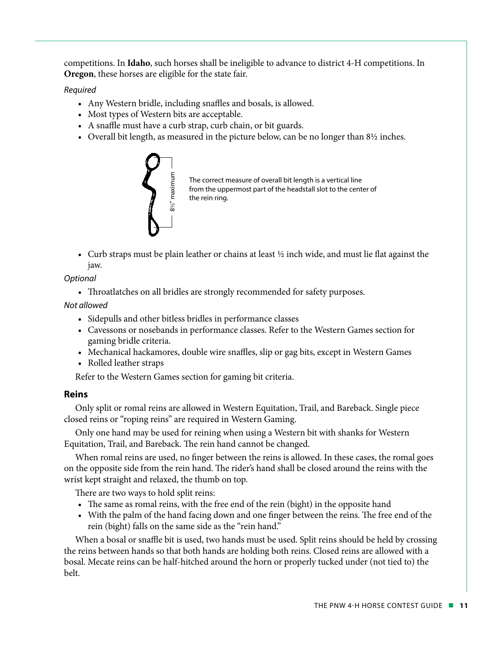competitions. In **Idaho**, such horses shall be ineligible to advance to district 4-H competitions. In **Oregon**, these horses are eligible for the state fair.

*Required*

- Any Western bridle, including snaffles and bosals, is allowed.
- Most types of Western bits are acceptable.
- A snaffle must have a curb strap, curb chain, or bit guards.
- Overall bit length, as measured in the picture below, can be no longer than 8½ inches.



• Curb straps must be plain leather or chains at least ½ inch wide, and must lie flat against the jaw.

*Optional*

• Throatlatches on all bridles are strongly recommended for safety purposes.

*Not allowed*

- Sidepulls and other bitless bridles in performance classes
- Cavessons or nosebands in performance classes. Refer to the Western Games section for gaming bridle criteria.
- Mechanical hackamores, double wire snaffles, slip or gag bits, except in Western Games
- Rolled leather straps

Refer to the Western Games section for gaming bit criteria.

#### **Reins**

Only split or romal reins are allowed in Western Equitation, Trail, and Bareback. Single piece closed reins or "roping reins" are required in Western Gaming.

Only one hand may be used for reining when using a Western bit with shanks for Western Equitation, Trail, and Bareback. The rein hand cannot be changed.

When romal reins are used, no finger between the reins is allowed. In these cases, the romal goes on the opposite side from the rein hand. The rider's hand shall be closed around the reins with the wrist kept straight and relaxed, the thumb on top.

There are two ways to hold split reins:

- The same as romal reins, with the free end of the rein (bight) in the opposite hand
- With the palm of the hand facing down and one finger between the reins. The free end of the rein (bight) falls on the same side as the "rein hand."

When a bosal or snaffle bit is used, two hands must be used. Split reins should be held by crossing the reins between hands so that both hands are holding both reins. Closed reins are allowed with a bosal. Mecate reins can be half-hitched around the horn or properly tucked under (not tied to) the belt.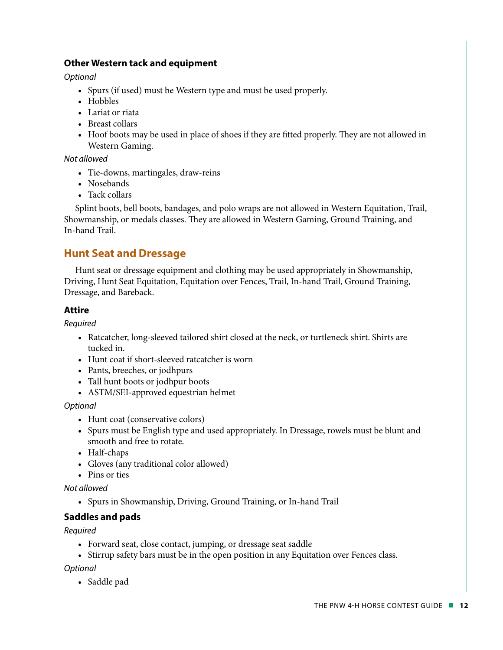#### **Other Western tack and equipment**

*Optional*

- Spurs (if used) must be Western type and must be used properly.
- Hobbles
- Lariat or riata
- Breast collars
- Hoof boots may be used in place of shoes if they are fitted properly. They are not allowed in Western Gaming.

#### *Not allowed*

- Tie-downs, martingales, draw-reins
- Nosebands
- Tack collars

Splint boots, bell boots, bandages, and polo wraps are not allowed in Western Equitation, Trail, Showmanship, or medals classes. They are allowed in Western Gaming, Ground Training, and In-hand Trail.

### **Hunt Seat and Dressage**

Hunt seat or dressage equipment and clothing may be used appropriately in Showmanship, Driving, Hunt Seat Equitation, Equitation over Fences, Trail, In-hand Trail, Ground Training, Dressage, and Bareback.

#### **Attire**

*Required* 

- Ratcatcher, long-sleeved tailored shirt closed at the neck, or turtleneck shirt. Shirts are tucked in.
- Hunt coat if short-sleeved ratcatcher is worn
- Pants, breeches, or jodhpurs
- Tall hunt boots or jodhpur boots
- ASTM/SEI-approved equestrian helmet

*Optional* 

- Hunt coat (conservative colors)
- Spurs must be English type and used appropriately. In Dressage, rowels must be blunt and smooth and free to rotate.
- Half-chaps
- Gloves (any traditional color allowed)
- Pins or ties

#### *Not allowed*

• Spurs in Showmanship, Driving, Ground Training, or In-hand Trail

#### **Saddles and pads**

#### *Required*

- Forward seat, close contact, jumping, or dressage seat saddle
- Stirrup safety bars must be in the open position in any Equitation over Fences class.

*Optional*

• Saddle pad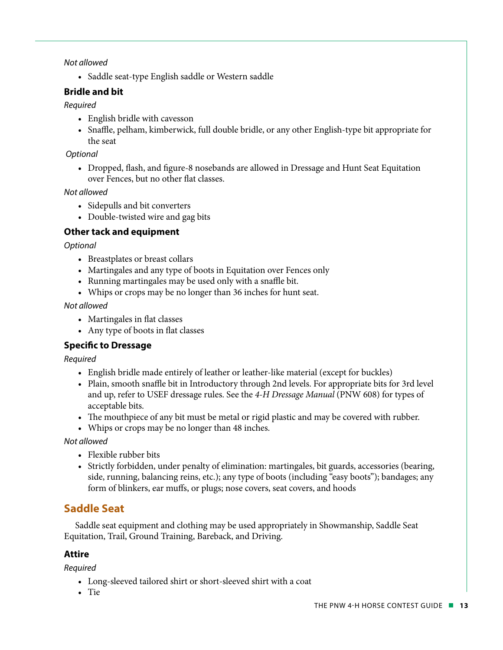#### *Not allowed*

• Saddle seat-type English saddle or Western saddle

#### **Bridle and bit**

#### *Required*

- English bridle with cavesson
- Snaffle, pelham, kimberwick, full double bridle, or any other English-type bit appropriate for the seat

#### *Optional*

• Dropped, flash, and figure-8 nosebands are allowed in Dressage and Hunt Seat Equitation over Fences, but no other flat classes.

*Not allowed*

- Sidepulls and bit converters
- Double-twisted wire and gag bits

### **Other tack and equipment**

#### *Optional*

- Breastplates or breast collars
- Martingales and any type of boots in Equitation over Fences only
- Running martingales may be used only with a snaffle bit.
- Whips or crops may be no longer than 36 inches for hunt seat.

#### *Not allowed*

- Martingales in flat classes
- Any type of boots in flat classes

### **Specific to Dressage**

*Required*

- English bridle made entirely of leather or leather-like material (except for buckles)
- Plain, smooth snaffle bit in Introductory through 2nd levels. For appropriate bits for 3rd level and up, refer to USEF dressage rules. See the *4-H Dressage Manual* (PNW 608) for types of acceptable bits.
- The mouthpiece of any bit must be metal or rigid plastic and may be covered with rubber.
- Whips or crops may be no longer than 48 inches.

#### *Not allowed*

- Flexible rubber bits
- Strictly forbidden, under penalty of elimination: martingales, bit guards, accessories (bearing, side, running, balancing reins, etc.); any type of boots (including "easy boots"); bandages; any form of blinkers, ear muffs, or plugs; nose covers, seat covers, and hoods

# **Saddle Seat**

Saddle seat equipment and clothing may be used appropriately in Showmanship, Saddle Seat Equitation, Trail, Ground Training, Bareback, and Driving.

#### **Attire**

*Required*

- Long-sleeved tailored shirt or short-sleeved shirt with a coat
- Tie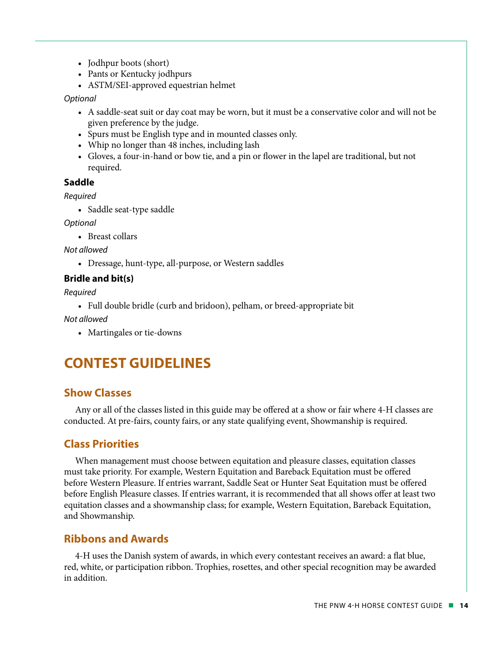- Jodhpur boots (short)
- Pants or Kentucky jodhpurs
- ASTM/SEI-approved equestrian helmet

*Optional*

- A saddle-seat suit or day coat may be worn, but it must be a conservative color and will not be given preference by the judge.
- Spurs must be English type and in mounted classes only.
- Whip no longer than 48 inches, including lash
- Gloves, a four-in-hand or bow tie, and a pin or flower in the lapel are traditional, but not required.

#### **Saddle**

*Required*

• Saddle seat-type saddle

*Optional* 

• Breast collars

*Not allowed*

• Dressage, hunt-type, all-purpose, or Western saddles

#### **Bridle and bit(s)**

*Required*

• Full double bridle (curb and bridoon), pelham, or breed-appropriate bit

*Not allowed*

• Martingales or tie-downs

# **CONTEST GUIDELINES**

#### **Show Classes**

Any or all of the classes listed in this guide may be offered at a show or fair where 4-H classes are conducted. At pre-fairs, county fairs, or any state qualifying event, Showmanship is required.

#### **Class Priorities**

When management must choose between equitation and pleasure classes, equitation classes must take priority. For example, Western Equitation and Bareback Equitation must be offered before Western Pleasure. If entries warrant, Saddle Seat or Hunter Seat Equitation must be offered before English Pleasure classes. If entries warrant, it is recommended that all shows offer at least two equitation classes and a showmanship class; for example, Western Equitation, Bareback Equitation, and Showmanship.

#### **Ribbons and Awards**

4-H uses the Danish system of awards, in which every contestant receives an award: a flat blue, red, white, or participation ribbon. Trophies, rosettes, and other special recognition may be awarded in addition.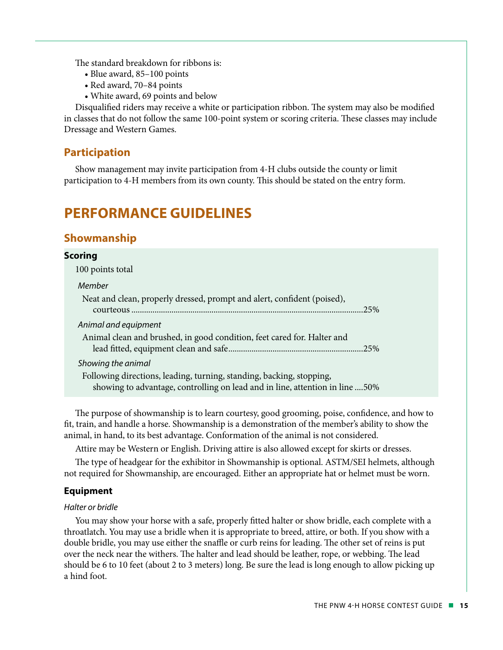The standard breakdown for ribbons is:

- Blue award, 85–100 points
- Red award, 70–84 points
- White award, 69 points and below

Disqualified riders may receive a white or participation ribbon. The system may also be modified in classes that do not follow the same 100-point system or scoring criteria. These classes may include Dressage and Western Games.

#### **Participation**

Show management may invite participation from 4-H clubs outside the county or limit participation to 4-H members from its own county. This should be stated on the entry form.

# **PERFORMANCE GUIDELINES**

#### **Showmanship**

# **Scoring** 100 points total *Member*  Neat and clean, properly dressed, prompt and alert, confident (poised), courteous..............................................................................................................25% *Animal and equipment*  Animal clean and brushed, in good condition, feet cared for. Halter and lead fitted, equipment clean and safe................................................................25% *Showing the animal*  Following directions, leading, turning, standing, backing, stopping, showing to advantage, controlling on lead and in line, attention in line ....50%

The purpose of showmanship is to learn courtesy, good grooming, poise, confidence, and how to fit, train, and handle a horse. Showmanship is a demonstration of the member's ability to show the animal, in hand, to its best advantage. Conformation of the animal is not considered.

Attire may be Western or English. Driving attire is also allowed except for skirts or dresses.

The type of headgear for the exhibitor in Showmanship is optional. ASTM/SEI helmets, although not required for Showmanship, are encouraged. Either an appropriate hat or helmet must be worn.

#### **Equipment**

#### *Halter or bridle*

You may show your horse with a safe, properly fitted halter or show bridle, each complete with a throatlatch. You may use a bridle when it is appropriate to breed, attire, or both. If you show with a double bridle, you may use either the snaffle or curb reins for leading. The other set of reins is put over the neck near the withers. The halter and lead should be leather, rope, or webbing. The lead should be 6 to 10 feet (about 2 to 3 meters) long. Be sure the lead is long enough to allow picking up a hind foot.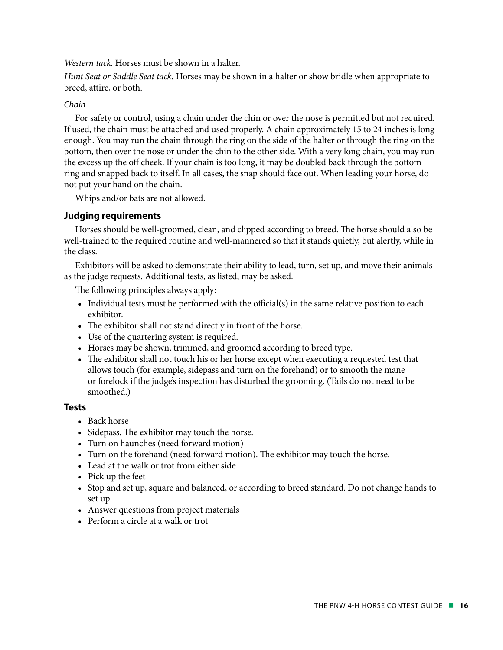*Western tack.* Horses must be shown in a halter.

*Hunt Seat or Saddle Seat tack.* Horses may be shown in a halter or show bridle when appropriate to breed, attire, or both.

#### *Chain*

For safety or control, using a chain under the chin or over the nose is permitted but not required. If used, the chain must be attached and used properly. A chain approximately 15 to 24 inches is long enough. You may run the chain through the ring on the side of the halter or through the ring on the bottom, then over the nose or under the chin to the other side. With a very long chain, you may run the excess up the off cheek. If your chain is too long, it may be doubled back through the bottom ring and snapped back to itself. In all cases, the snap should face out. When leading your horse, do not put your hand on the chain.

Whips and/or bats are not allowed.

#### **Judging requirements**

Horses should be well-groomed, clean, and clipped according to breed. The horse should also be well-trained to the required routine and well-mannered so that it stands quietly, but alertly, while in the class.

Exhibitors will be asked to demonstrate their ability to lead, turn, set up, and move their animals as the judge requests. Additional tests, as listed, may be asked.

The following principles always apply:

- Individual tests must be performed with the official(s) in the same relative position to each exhibitor.
- The exhibitor shall not stand directly in front of the horse.
- Use of the quartering system is required.
- Horses may be shown, trimmed, and groomed according to breed type.
- The exhibitor shall not touch his or her horse except when executing a requested test that allows touch (for example, sidepass and turn on the forehand) or to smooth the mane or forelock if the judge's inspection has disturbed the grooming. (Tails do not need to be smoothed.)

#### **Tests**

- Back horse
- Sidepass. The exhibitor may touch the horse.
- Turn on haunches (need forward motion)
- Turn on the forehand (need forward motion). The exhibitor may touch the horse.
- Lead at the walk or trot from either side
- Pick up the feet
- Stop and set up, square and balanced, or according to breed standard. Do not change hands to set up.
- Answer questions from project materials
- Perform a circle at a walk or trot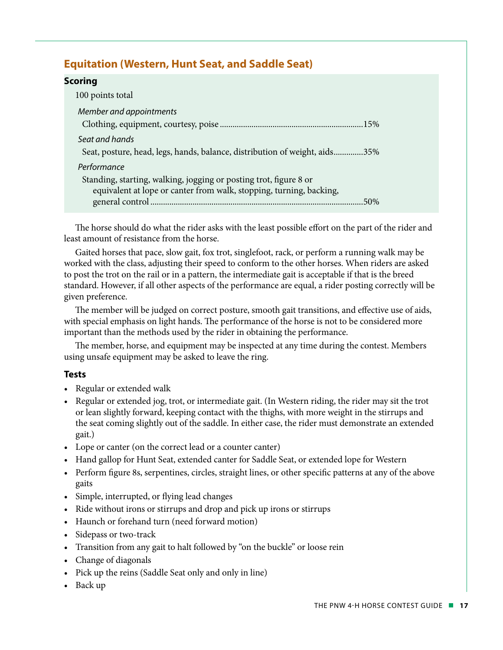### **Equitation (Western, Hunt Seat, and Saddle Seat)**

#### **Scoring**

| 100 points total                                                           |
|----------------------------------------------------------------------------|
| Member and appointments                                                    |
|                                                                            |
| Seat and hands                                                             |
| Seat, posture, head, legs, hands, balance, distribution of weight, aids35% |
| Performance                                                                |
| Standing, starting, walking, jogging or posting trot, figure 8 or          |
| equivalent at lope or canter from walk, stopping, turning, backing,        |
| 50%                                                                        |

The horse should do what the rider asks with the least possible effort on the part of the rider and least amount of resistance from the horse.

Gaited horses that pace, slow gait, fox trot, singlefoot, rack, or perform a running walk may be worked with the class, adjusting their speed to conform to the other horses. When riders are asked to post the trot on the rail or in a pattern, the intermediate gait is acceptable if that is the breed standard. However, if all other aspects of the performance are equal, a rider posting correctly will be given preference.

The member will be judged on correct posture, smooth gait transitions, and effective use of aids, with special emphasis on light hands. The performance of the horse is not to be considered more important than the methods used by the rider in obtaining the performance.

The member, horse, and equipment may be inspected at any time during the contest. Members using unsafe equipment may be asked to leave the ring.

#### **Tests**

- Regular or extended walk
- Regular or extended jog, trot, or intermediate gait. (In Western riding, the rider may sit the trot or lean slightly forward, keeping contact with the thighs, with more weight in the stirrups and the seat coming slightly out of the saddle. In either case, the rider must demonstrate an extended gait.)
- Lope or canter (on the correct lead or a counter canter)
- Hand gallop for Hunt Seat, extended canter for Saddle Seat, or extended lope for Western
- Perform figure 8s, serpentines, circles, straight lines, or other specific patterns at any of the above gaits
- Simple, interrupted, or flying lead changes
- Ride without irons or stirrups and drop and pick up irons or stirrups
- Haunch or forehand turn (need forward motion)
- Sidepass or two-track
- Transition from any gait to halt followed by "on the buckle" or loose rein
- Change of diagonals
- Pick up the reins (Saddle Seat only and only in line)
- Back up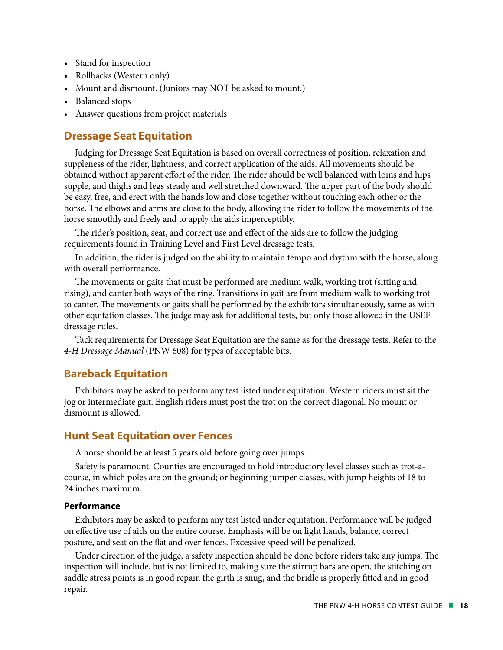- Stand for inspection
- Rollbacks (Western only)
- Mount and dismount. (Juniors may NOT be asked to mount.)
- Balanced stops
- Answer questions from project materials

#### **Dressage Seat Equitation**

Judging for Dressage Seat Equitation is based on overall correctness of position, relaxation and suppleness of the rider, lightness, and correct application of the aids. All movements should be obtained without apparent effort of the rider. The rider should be well balanced with loins and hips supple, and thighs and legs steady and well stretched downward. The upper part of the body should be easy, free, and erect with the hands low and close together without touching each other or the horse. The elbows and arms are close to the body, allowing the rider to follow the movements of the horse smoothly and freely and to apply the aids imperceptibly.

The rider's position, seat, and correct use and effect of the aids are to follow the judging requirements found in Training Level and First Level dressage tests.

In addition, the rider is judged on the ability to maintain tempo and rhythm with the horse, along with overall performance.

The movements or gaits that must be performed are medium walk, working trot (sitting and rising), and canter both ways of the ring. Transitions in gait are from medium walk to working trot to canter. The movements or gaits shall be performed by the exhibitors simultaneously, same as with other equitation classes. The judge may ask for additional tests, but only those allowed in the USEF dressage rules.

Tack requirements for Dressage Seat Equitation are the same as for the dressage tests. Refer to the *4-H Dressage Manual* (PNW 608) for types of acceptable bits.

#### **Bareback Equitation**

Exhibitors may be asked to perform any test listed under equitation. Western riders must sit the jog or intermediate gait. English riders must post the trot on the correct diagonal. No mount or dismount is allowed.

#### **Hunt Seat Equitation over Fences**

A horse should be at least 5 years old before going over jumps.

Safety is paramount. Counties are encouraged to hold introductory level classes such as trot-acourse, in which poles are on the ground; or beginning jumper classes, with jump heights of 18 to 24 inches maximum.

#### **Performance**

Exhibitors may be asked to perform any test listed under equitation. Performance will be judged on effective use of aids on the entire course. Emphasis will be on light hands, balance, correct posture, and seat on the flat and over fences. Excessive speed will be penalized.

Under direction of the judge, a safety inspection should be done before riders take any jumps. The inspection will include, but is not limited to, making sure the stirrup bars are open, the stitching on saddle stress points is in good repair, the girth is snug, and the bridle is properly fitted and in good repair.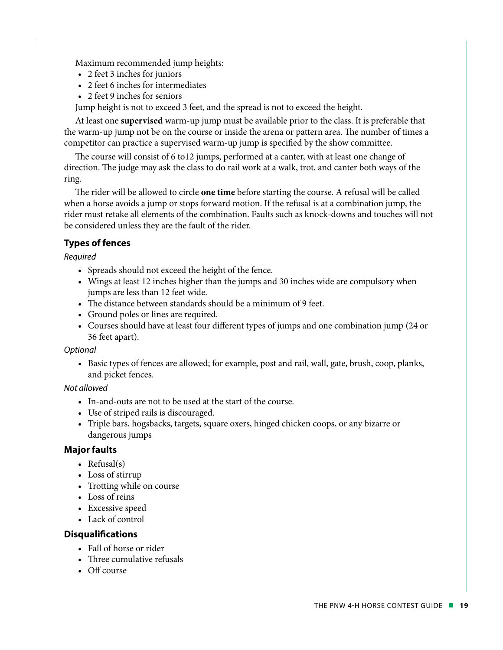Maximum recommended jump heights:

- 2 feet 3 inches for juniors
- 2 feet 6 inches for intermediates
- 2 feet 9 inches for seniors

Jump height is not to exceed 3 feet, and the spread is not to exceed the height.

At least one **supervised** warm-up jump must be available prior to the class. It is preferable that the warm-up jump not be on the course or inside the arena or pattern area. The number of times a competitor can practice a supervised warm-up jump is specified by the show committee.

The course will consist of 6 to12 jumps, performed at a canter, with at least one change of direction. The judge may ask the class to do rail work at a walk, trot, and canter both ways of the ring.

The rider will be allowed to circle **one time** before starting the course. A refusal will be called when a horse avoids a jump or stops forward motion. If the refusal is at a combination jump, the rider must retake all elements of the combination. Faults such as knock-downs and touches will not be considered unless they are the fault of the rider.

#### **Types of fences**

*Required*

- Spreads should not exceed the height of the fence.
- Wings at least 12 inches higher than the jumps and 30 inches wide are compulsory when jumps are less than 12 feet wide.
- The distance between standards should be a minimum of 9 feet.
- Ground poles or lines are required.
- Courses should have at least four different types of jumps and one combination jump (24 or 36 feet apart).

*Optional*

• Basic types of fences are allowed; for example, post and rail, wall, gate, brush, coop, planks, and picket fences.

#### *Not allowed*

- In-and-outs are not to be used at the start of the course.
- Use of striped rails is discouraged.
- Triple bars, hogsbacks, targets, square oxers, hinged chicken coops, or any bizarre or dangerous jumps

#### **Major faults**

- Refusal(s)
- Loss of stirrup
- Trotting while on course
- Loss of reins
- Excessive speed
- Lack of control

#### **Disqualifications**

- Fall of horse or rider
- Three cumulative refusals
- Off course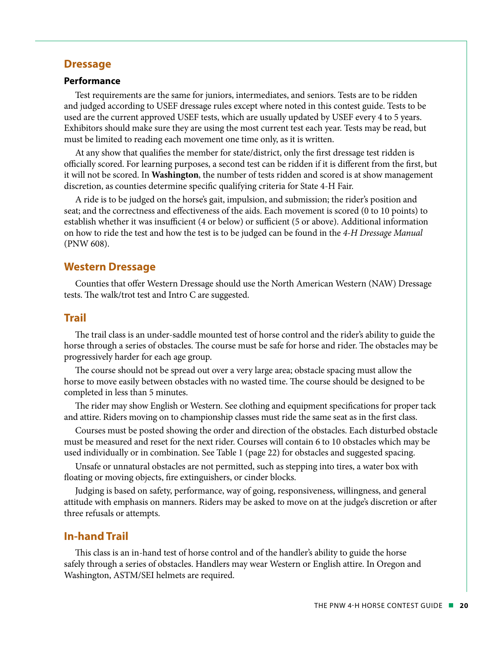#### **Dressage**

#### **Performance**

Test requirements are the same for juniors, intermediates, and seniors. Tests are to be ridden and judged according to USEF dressage rules except where noted in this contest guide. Tests to be used are the current approved USEF tests, which are usually updated by USEF every 4 to 5 years. Exhibitors should make sure they are using the most current test each year. Tests may be read, but must be limited to reading each movement one time only, as it is written.

At any show that qualifies the member for state/district, only the first dressage test ridden is officially scored. For learning purposes, a second test can be ridden if it is different from the first, but it will not be scored. In **Washington**, the number of tests ridden and scored is at show management discretion, as counties determine specific qualifying criteria for State 4-H Fair.

A ride is to be judged on the horse's gait, impulsion, and submission; the rider's position and seat; and the correctness and effectiveness of the aids. Each movement is scored (0 to 10 points) to establish whether it was insufficient (4 or below) or sufficient (5 or above). Additional information on how to ride the test and how the test is to be judged can be found in the *4-H Dressage Manual* (PNW 608).

#### **Western Dressage**

Counties that offer Western Dressage should use the North American Western (NAW) Dressage tests. The walk/trot test and Intro C are suggested.

#### **Trail**

The trail class is an under-saddle mounted test of horse control and the rider's ability to guide the horse through a series of obstacles. The course must be safe for horse and rider. The obstacles may be progressively harder for each age group.

The course should not be spread out over a very large area; obstacle spacing must allow the horse to move easily between obstacles with no wasted time. The course should be designed to be completed in less than 5 minutes.

The rider may show English or Western. See clothing and equipment specifications for proper tack and attire. Riders moving on to championship classes must ride the same seat as in the first class.

Courses must be posted showing the order and direction of the obstacles. Each disturbed obstacle must be measured and reset for the next rider. Courses will contain 6 to 10 obstacles which may be used individually or in combination. See Table 1 (page 22) for obstacles and suggested spacing.

Unsafe or unnatural obstacles are not permitted, such as stepping into tires, a water box with floating or moving objects, fire extinguishers, or cinder blocks.

Judging is based on safety, performance, way of going, responsiveness, willingness, and general attitude with emphasis on manners. Riders may be asked to move on at the judge's discretion or after three refusals or attempts.

#### **In-hand Trail**

This class is an in-hand test of horse control and of the handler's ability to guide the horse safely through a series of obstacles. Handlers may wear Western or English attire. In Oregon and Washington, ASTM/SEI helmets are required.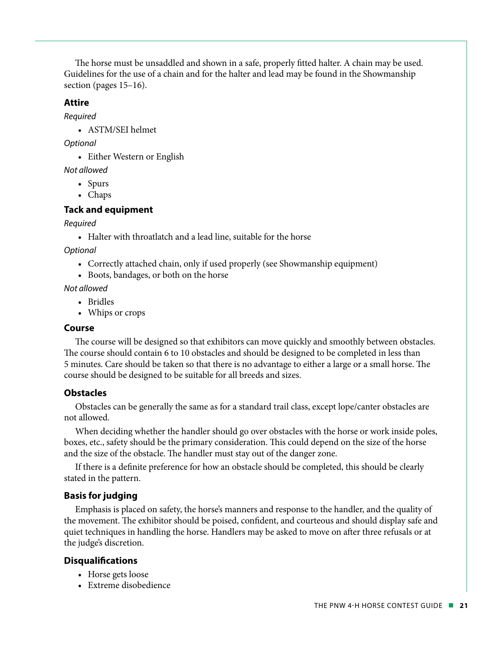The horse must be unsaddled and shown in a safe, properly fitted halter. A chain may be used. Guidelines for the use of a chain and for the halter and lead may be found in the Showmanship section (pages 15–16).

#### **Attire**

*Required*

• ASTM/SEI helmet

*Optional*

• Either Western or English

*Not allowed*

- Spurs
- Chaps

#### **Tack and equipment**

#### *Required*

• Halter with throatlatch and a lead line, suitable for the horse

*Optional*

- Correctly attached chain, only if used properly (see Showmanship equipment)
- Boots, bandages, or both on the horse

*Not allowed*

- Bridles
- Whips or crops

#### **Course**

The course will be designed so that exhibitors can move quickly and smoothly between obstacles. The course should contain 6 to 10 obstacles and should be designed to be completed in less than 5 minutes. Care should be taken so that there is no advantage to either a large or a small horse. The course should be designed to be suitable for all breeds and sizes.

#### **Obstacles**

Obstacles can be generally the same as for a standard trail class, except lope/canter obstacles are not allowed.

When deciding whether the handler should go over obstacles with the horse or work inside poles, boxes, etc., safety should be the primary consideration. This could depend on the size of the horse and the size of the obstacle. The handler must stay out of the danger zone.

If there is a definite preference for how an obstacle should be completed, this should be clearly stated in the pattern.

#### **Basis for judging**

Emphasis is placed on safety, the horse's manners and response to the handler, and the quality of the movement. The exhibitor should be poised, confident, and courteous and should display safe and quiet techniques in handling the horse. Handlers may be asked to move on after three refusals or at the judge's discretion.

#### **Disqualifications**

- Horse gets loose
- Extreme disobedience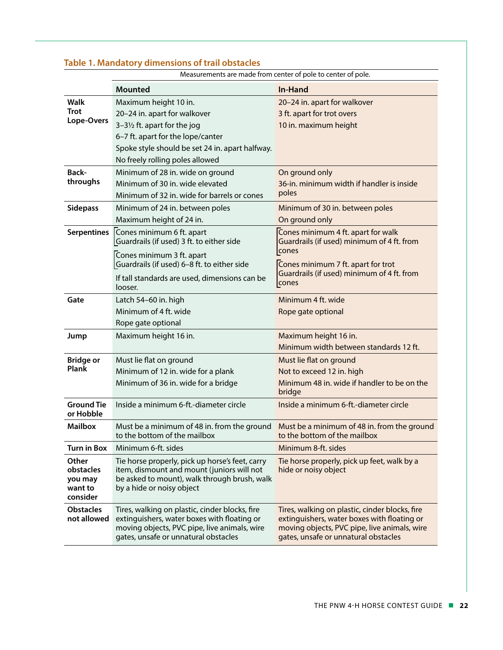| Table 1. Mandatory dimensions of trail obstacles             |                                                                                                                                                                                       |                                                                                                                                                                                       |  |  |
|--------------------------------------------------------------|---------------------------------------------------------------------------------------------------------------------------------------------------------------------------------------|---------------------------------------------------------------------------------------------------------------------------------------------------------------------------------------|--|--|
| Measurements are made from center of pole to center of pole. |                                                                                                                                                                                       |                                                                                                                                                                                       |  |  |
|                                                              | <b>Mounted</b>                                                                                                                                                                        | <b>In-Hand</b>                                                                                                                                                                        |  |  |
| Walk                                                         | Maximum height 10 in.                                                                                                                                                                 | 20-24 in. apart for walkover                                                                                                                                                          |  |  |
| <b>Trot</b><br>Lope-Overs                                    | 20-24 in. apart for walkover                                                                                                                                                          | 3 ft. apart for trot overs                                                                                                                                                            |  |  |
|                                                              | 3-31/2 ft. apart for the jog                                                                                                                                                          | 10 in. maximum height                                                                                                                                                                 |  |  |
|                                                              | 6-7 ft. apart for the lope/canter                                                                                                                                                     |                                                                                                                                                                                       |  |  |
|                                                              | Spoke style should be set 24 in. apart halfway.                                                                                                                                       |                                                                                                                                                                                       |  |  |
|                                                              | No freely rolling poles allowed                                                                                                                                                       |                                                                                                                                                                                       |  |  |
| Back-                                                        | Minimum of 28 in. wide on ground                                                                                                                                                      | On ground only                                                                                                                                                                        |  |  |
| throughs                                                     | Minimum of 30 in. wide elevated                                                                                                                                                       | 36-in. minimum width if handler is inside                                                                                                                                             |  |  |
|                                                              | Minimum of 32 in. wide for barrels or cones                                                                                                                                           | poles                                                                                                                                                                                 |  |  |
| <b>Sidepass</b>                                              | Minimum of 24 in. between poles                                                                                                                                                       | Minimum of 30 in. between poles                                                                                                                                                       |  |  |
|                                                              | Maximum height of 24 in.                                                                                                                                                              | On ground only                                                                                                                                                                        |  |  |
| <b>Serpentines</b>                                           | Cones minimum 6 ft. apart<br>Guardrails (if used) 3 ft. to either side                                                                                                                | Cones minimum 4 ft. apart for walk<br>Guardrails (if used) minimum of 4 ft. from                                                                                                      |  |  |
|                                                              | Cones minimum 3 ft. apart<br>Guardrails (if used) 6-8 ft. to either side                                                                                                              | cones<br>Cones minimum 7 ft. apart for trot                                                                                                                                           |  |  |
|                                                              | If tall standards are used, dimensions can be<br>looser.                                                                                                                              | Guardrails (if used) minimum of 4 ft. from<br>cones                                                                                                                                   |  |  |
| Gate                                                         | Latch 54-60 in. high                                                                                                                                                                  | Minimum 4 ft. wide                                                                                                                                                                    |  |  |
|                                                              | Minimum of 4 ft. wide                                                                                                                                                                 | Rope gate optional                                                                                                                                                                    |  |  |
|                                                              | Rope gate optional                                                                                                                                                                    |                                                                                                                                                                                       |  |  |
| Jump                                                         | Maximum height 16 in.                                                                                                                                                                 | Maximum height 16 in.                                                                                                                                                                 |  |  |
|                                                              |                                                                                                                                                                                       | Minimum width between standards 12 ft.                                                                                                                                                |  |  |
| <b>Bridge or</b>                                             | Must lie flat on ground                                                                                                                                                               | Must lie flat on ground                                                                                                                                                               |  |  |
| Plank                                                        | Minimum of 12 in. wide for a plank                                                                                                                                                    | Not to exceed 12 in. high                                                                                                                                                             |  |  |
|                                                              | Minimum of 36 in. wide for a bridge                                                                                                                                                   | Minimum 48 in, wide if handler to be on the<br>bridge                                                                                                                                 |  |  |
| <b>Ground Tie</b><br>or Hobble                               | Inside a minimum 6-ft.-diameter circle                                                                                                                                                | Inside a minimum 6-ft.-diameter circle                                                                                                                                                |  |  |
| <b>Mailbox</b>                                               | to the bottom of the mailbox                                                                                                                                                          | Must be a minimum of 48 in. from the ground Must be a minimum of 48 in. from the ground<br>to the bottom of the mailbox                                                               |  |  |
| <b>Turn in Box</b>                                           | Minimum 6-ft. sides                                                                                                                                                                   | Minimum 8-ft. sides                                                                                                                                                                   |  |  |
| Other<br>obstacles<br>you may<br>want to<br>consider         | Tie horse properly, pick up horse's feet, carry<br>item, dismount and mount (juniors will not<br>be asked to mount), walk through brush, walk<br>by a hide or noisy object            | Tie horse properly, pick up feet, walk by a<br>hide or noisy object                                                                                                                   |  |  |
| <b>Obstacles</b><br>not allowed                              | Tires, walking on plastic, cinder blocks, fire<br>extinguishers, water boxes with floating or<br>moving objects, PVC pipe, live animals, wire<br>gates, unsafe or unnatural obstacles | Tires, walking on plastic, cinder blocks, fire<br>extinguishers, water boxes with floating or<br>moving objects, PVC pipe, live animals, wire<br>gates, unsafe or unnatural obstacles |  |  |

#### **Table 1. Mandatory dimensions of trail obstacles**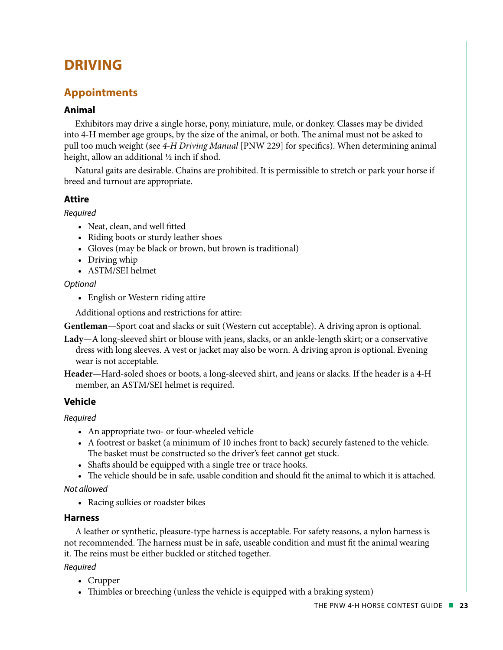# **DRIVING**

# **Appointments**

#### **Animal**

Exhibitors may drive a single horse, pony, miniature, mule, or donkey. Classes may be divided into 4-H member age groups, by the size of the animal, or both. The animal must not be asked to pull too much weight (see *4-H Driving Manual* [PNW 229] for specifics). When determining animal height, allow an additional ½ inch if shod.

Natural gaits are desirable. Chains are prohibited. It is permissible to stretch or park your horse if breed and turnout are appropriate.

#### **Attire**

#### *Required*

- Neat, clean, and well fitted
- Riding boots or sturdy leather shoes
- Gloves (may be black or brown, but brown is traditional)
- Driving whip
- ASTM/SEI helmet

#### *Optional*

• English or Western riding attire

Additional options and restrictions for attire:

**Gentleman**—Sport coat and slacks or suit (Western cut acceptable). A driving apron is optional.

- **Lady**—A long-sleeved shirt or blouse with jeans, slacks, or an ankle-length skirt; or a conservative dress with long sleeves. A vest or jacket may also be worn. A driving apron is optional. Evening wear is not acceptable.
- **Header**—Hard-soled shoes or boots, a long-sleeved shirt, and jeans or slacks. If the header is a 4-H member, an ASTM/SEI helmet is required.

#### **Vehicle**

*Required*

- An appropriate two- or four-wheeled vehicle
- A footrest or basket (a minimum of 10 inches front to back) securely fastened to the vehicle. The basket must be constructed so the driver's feet cannot get stuck.
- Shafts should be equipped with a single tree or trace hooks.
- The vehicle should be in safe, usable condition and should fit the animal to which it is attached.

*Not allowed*

• Racing sulkies or roadster bikes

#### **Harness**

A leather or synthetic, pleasure-type harness is acceptable. For safety reasons, a nylon harness is not recommended. The harness must be in safe, useable condition and must fit the animal wearing it. The reins must be either buckled or stitched together.

#### *Required*

- Crupper
- Thimbles or breeching (unless the vehicle is equipped with a braking system)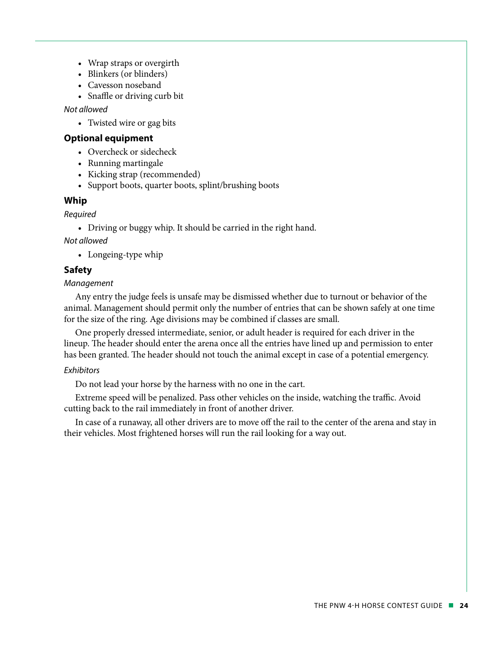- Wrap straps or overgirth
- Blinkers (or blinders)
- Cavesson noseband
- Snaffle or driving curb bit

*Not allowed* 

• Twisted wire or gag bits

#### **Optional equipment**

- Overcheck or sidecheck
- Running martingale
- Kicking strap (recommended)
- Support boots, quarter boots, splint/brushing boots

#### **Whip**

#### *Required*

• Driving or buggy whip. It should be carried in the right hand.

*Not allowed*

• Longeing-type whip

#### **Safety**

#### *Management*

Any entry the judge feels is unsafe may be dismissed whether due to turnout or behavior of the animal. Management should permit only the number of entries that can be shown safely at one time for the size of the ring. Age divisions may be combined if classes are small.

One properly dressed intermediate, senior, or adult header is required for each driver in the lineup. The header should enter the arena once all the entries have lined up and permission to enter has been granted. The header should not touch the animal except in case of a potential emergency.

#### *Exhibitors*

Do not lead your horse by the harness with no one in the cart.

Extreme speed will be penalized. Pass other vehicles on the inside, watching the traffic. Avoid cutting back to the rail immediately in front of another driver.

In case of a runaway, all other drivers are to move off the rail to the center of the arena and stay in their vehicles. Most frightened horses will run the rail looking for a way out.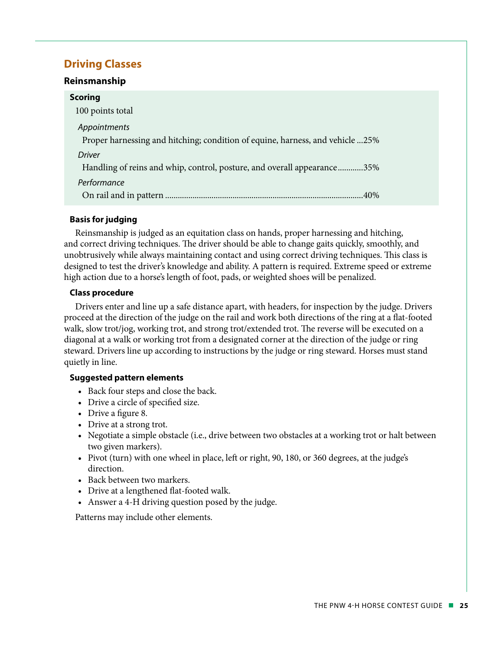# **Driving Classes**

#### **Reinsmanship**

| <b>Scoring</b>                                                                |
|-------------------------------------------------------------------------------|
| 100 points total                                                              |
| Appointments                                                                  |
| Proper harnessing and hitching; condition of equine, harness, and vehicle 25% |
| <b>Driver</b>                                                                 |
| Handling of reins and whip, control, posture, and overall appearance35%       |
| Performance                                                                   |
|                                                                               |

#### **Basis for judging**

Reinsmanship is judged as an equitation class on hands, proper harnessing and hitching, and correct driving techniques. The driver should be able to change gaits quickly, smoothly, and unobtrusively while always maintaining contact and using correct driving techniques. This class is designed to test the driver's knowledge and ability. A pattern is required. Extreme speed or extreme high action due to a horse's length of foot, pads, or weighted shoes will be penalized.

#### **Class procedure**

Drivers enter and line up a safe distance apart, with headers, for inspection by the judge. Drivers proceed at the direction of the judge on the rail and work both directions of the ring at a flat-footed walk, slow trot/jog, working trot, and strong trot/extended trot. The reverse will be executed on a diagonal at a walk or working trot from a designated corner at the direction of the judge or ring steward. Drivers line up according to instructions by the judge or ring steward. Horses must stand quietly in line.

#### **Suggested pattern elements**

- Back four steps and close the back.
- Drive a circle of specified size.
- Drive a figure 8.
- Drive at a strong trot.
- Negotiate a simple obstacle (i.e., drive between two obstacles at a working trot or halt between two given markers).
- Pivot (turn) with one wheel in place, left or right, 90, 180, or 360 degrees, at the judge's direction.
- Back between two markers.
- Drive at a lengthened flat-footed walk.
- Answer a 4-H driving question posed by the judge.

Patterns may include other elements.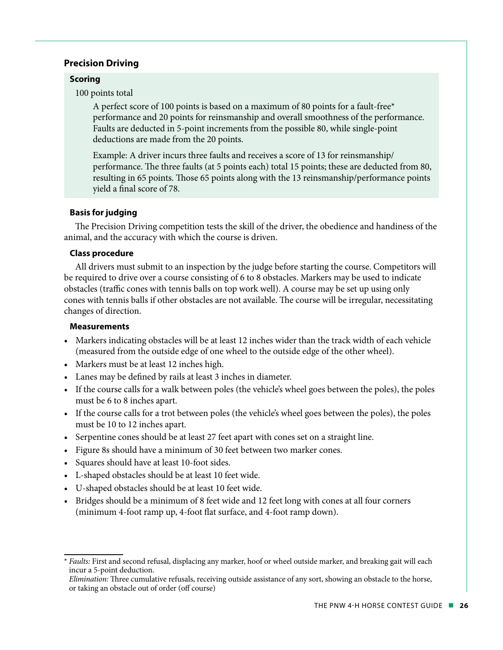#### **Precision Driving**

#### **Scoring**

100 points total

A perfect score of 100 points is based on a maximum of 80 points for a fault-free\* performance and 20 points for reinsmanship and overall smoothness of the performance. Faults are deducted in 5-point increments from the possible 80, while single-point deductions are made from the 20 points.

Example: A driver incurs three faults and receives a score of 13 for reinsmanship/ performance. The three faults (at 5 points each) total 15 points; these are deducted from 80, resulting in 65 points. Those 65 points along with the 13 reinsmanship/performance points yield a final score of 78.

#### **Basis for judging**

The Precision Driving competition tests the skill of the driver, the obedience and handiness of the animal, and the accuracy with which the course is driven.

#### **Class procedure**

All drivers must submit to an inspection by the judge before starting the course. Competitors will be required to drive over a course consisting of 6 to 8 obstacles. Markers may be used to indicate obstacles (traffic cones with tennis balls on top work well). A course may be set up using only cones with tennis balls if other obstacles are not available. The course will be irregular, necessitating changes of direction.

#### **Measurements**

- Markers indicating obstacles will be at least 12 inches wider than the track width of each vehicle (measured from the outside edge of one wheel to the outside edge of the other wheel).
- Markers must be at least 12 inches high.
- Lanes may be defined by rails at least 3 inches in diameter.
- If the course calls for a walk between poles (the vehicle's wheel goes between the poles), the poles must be 6 to 8 inches apart.
- If the course calls for a trot between poles (the vehicle's wheel goes between the poles), the poles must be 10 to 12 inches apart.
- Serpentine cones should be at least 27 feet apart with cones set on a straight line.
- Figure 8s should have a minimum of 30 feet between two marker cones.
- Squares should have at least 10-foot sides.
- L-shaped obstacles should be at least 10 feet wide.
- U-shaped obstacles should be at least 10 feet wide.
- Bridges should be a minimum of 8 feet wide and 12 feet long with cones at all four corners (minimum 4-foot ramp up, 4-foot flat surface, and 4-foot ramp down).

<sup>\*</sup> *Faults:* First and second refusal, displacing any marker, hoof or wheel outside marker, and breaking gait will each incur a 5-point deduction.

*Elimination:* Three cumulative refusals, receiving outside assistance of any sort, showing an obstacle to the horse, or taking an obstacle out of order (off course)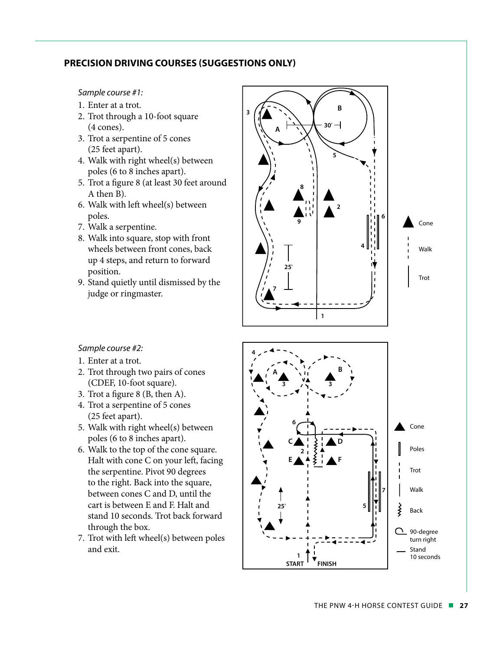#### **PRECISION DRIVING COURSES (SUGGESTIONS ONLY)**

#### *Sample course #1:*

- 1. Enter at a trot.
- 2. Trot through a 10-foot square (4 cones).
- 3. Trot a serpentine of 5 cones (25 feet apart).
- 4. Walk with right wheel(s) between poles (6 to 8 inches apart).
- 5. Trot a figure 8 (at least 30 feet around A then B).
- 6. Walk with left wheel(s) between poles.
- 7. Walk a serpentine.
- 8. Walk into square, stop with front wheels between front cones, back up 4 steps, and return to forward position.
- 9. Stand quietly until dismissed by the judge or ringmaster.



#### *Sample course #2:*

- 1. Enter at a trot.
- 2. Trot through two pairs of cones (CDEF, 10-foot square).
- 3. Trot a figure 8 (B, then A).
- 4. Trot a serpentine of 5 cones (25 feet apart).
- 5. Walk with right wheel(s) between poles (6 to 8 inches apart).
- 6. Walk to the top of the cone square. Halt with cone C on your left, facing the serpentine. Pivot 90 degrees to the right. Back into the square, between cones C and D, until the cart is between E and F. Halt and stand 10 seconds. Trot back forward through the box.
- 7. Trot with left wheel(s) between poles and exit.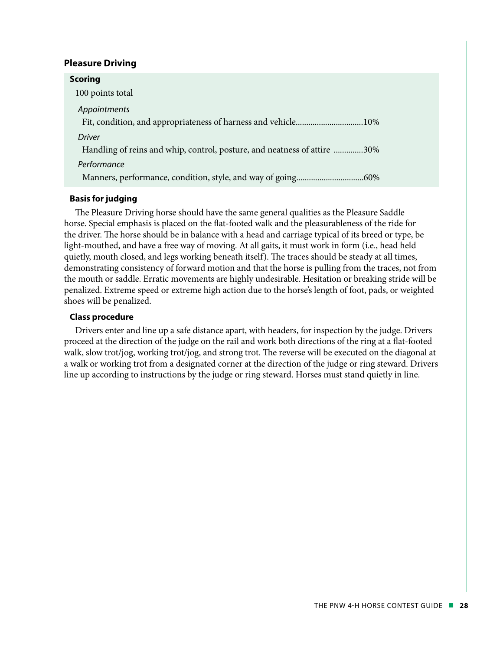#### **Pleasure Driving**

| <b>Scoring</b>                                                           |  |
|--------------------------------------------------------------------------|--|
| 100 points total                                                         |  |
| Appointments                                                             |  |
|                                                                          |  |
| Driver                                                                   |  |
| Handling of reins and whip, control, posture, and neatness of attire 30% |  |
| Performance                                                              |  |
|                                                                          |  |
|                                                                          |  |

#### **Basis for judging**

The Pleasure Driving horse should have the same general qualities as the Pleasure Saddle horse. Special emphasis is placed on the flat-footed walk and the pleasurableness of the ride for the driver. The horse should be in balance with a head and carriage typical of its breed or type, be light-mouthed, and have a free way of moving. At all gaits, it must work in form (i.e., head held quietly, mouth closed, and legs working beneath itself). The traces should be steady at all times, demonstrating consistency of forward motion and that the horse is pulling from the traces, not from the mouth or saddle. Erratic movements are highly undesirable. Hesitation or breaking stride will be penalized. Extreme speed or extreme high action due to the horse's length of foot, pads, or weighted shoes will be penalized.

#### **Class procedure**

Drivers enter and line up a safe distance apart, with headers, for inspection by the judge. Drivers proceed at the direction of the judge on the rail and work both directions of the ring at a flat-footed walk, slow trot/jog, working trot/jog, and strong trot. The reverse will be executed on the diagonal at a walk or working trot from a designated corner at the direction of the judge or ring steward. Drivers line up according to instructions by the judge or ring steward. Horses must stand quietly in line.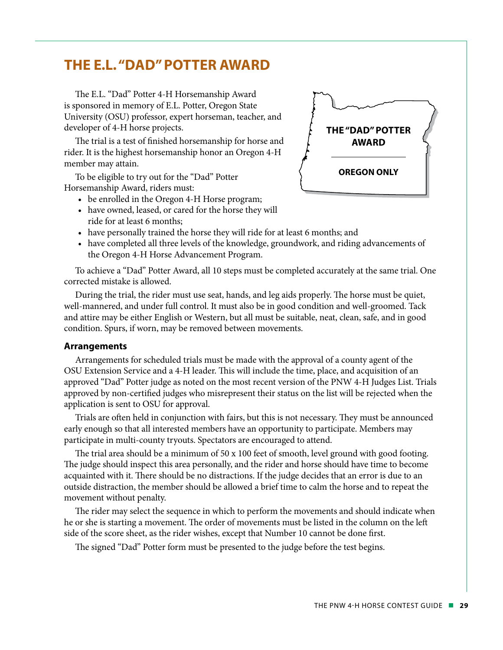# **THE E.L. "DAD" POTTER AWARD**

The E.L. "Dad" Potter 4-H Horsemanship Award is sponsored in memory of E.L. Potter, Oregon State University (OSU) professor, expert horseman, teacher, and developer of 4-H horse projects.

The trial is a test of finished horsemanship for horse and rider. It is the highest horsemanship honor an Oregon 4-H member may attain.

To be eligible to try out for the "Dad" Potter Horsemanship Award, riders must:

- be enrolled in the Oregon 4-H Horse program;
- have owned, leased, or cared for the horse they will ride for at least 6 months;
- have personally trained the horse they will ride for at least 6 months; and
- have completed all three levels of the knowledge, groundwork, and riding advancements of the Oregon 4-H Horse Advancement Program.

To achieve a "Dad" Potter Award, all 10 steps must be completed accurately at the same trial. One corrected mistake is allowed.

During the trial, the rider must use seat, hands, and leg aids properly. The horse must be quiet, well-mannered, and under full control. It must also be in good condition and well-groomed. Tack and attire may be either English or Western, but all must be suitable, neat, clean, safe, and in good condition. Spurs, if worn, may be removed between movements.

#### **Arrangements**

Arrangements for scheduled trials must be made with the approval of a county agent of the OSU Extension Service and a 4-H leader. This will include the time, place, and acquisition of an approved "Dad" Potter judge as noted on the most recent version of the PNW 4-H Judges List. Trials approved by non-certified judges who misrepresent their status on the list will be rejected when the application is sent to OSU for approval.

Trials are often held in conjunction with fairs, but this is not necessary. They must be announced early enough so that all interested members have an opportunity to participate. Members may participate in multi-county tryouts. Spectators are encouraged to attend.

The trial area should be a minimum of 50 x 100 feet of smooth, level ground with good footing. The judge should inspect this area personally, and the rider and horse should have time to become acquainted with it. There should be no distractions. If the judge decides that an error is due to an outside distraction, the member should be allowed a brief time to calm the horse and to repeat the movement without penalty.

The rider may select the sequence in which to perform the movements and should indicate when he or she is starting a movement. The order of movements must be listed in the column on the left side of the score sheet, as the rider wishes, except that Number 10 cannot be done first.

The signed "Dad" Potter form must be presented to the judge before the test begins.

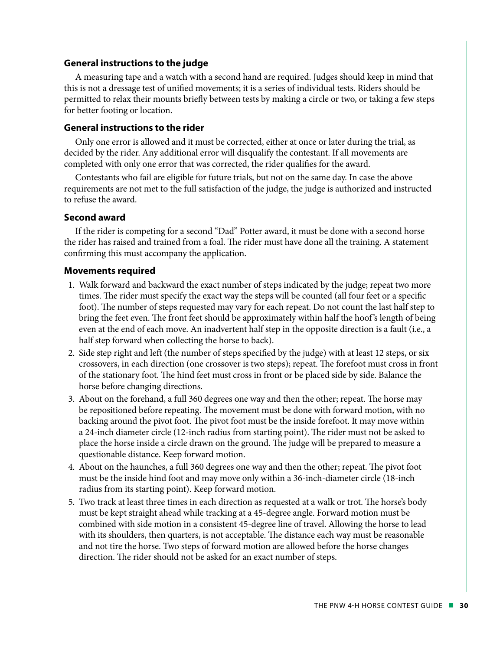#### **General instructions to the judge**

A measuring tape and a watch with a second hand are required. Judges should keep in mind that this is not a dressage test of unified movements; it is a series of individual tests. Riders should be permitted to relax their mounts briefly between tests by making a circle or two, or taking a few steps for better footing or location.

#### **General instructions to the rider**

Only one error is allowed and it must be corrected, either at once or later during the trial, as decided by the rider. Any additional error will disqualify the contestant. If all movements are completed with only one error that was corrected, the rider qualifies for the award.

Contestants who fail are eligible for future trials, but not on the same day. In case the above requirements are not met to the full satisfaction of the judge, the judge is authorized and instructed to refuse the award.

#### **Second award**

If the rider is competing for a second "Dad" Potter award, it must be done with a second horse the rider has raised and trained from a foal. The rider must have done all the training. A statement confirming this must accompany the application.

#### **Movements required**

- 1. Walk forward and backward the exact number of steps indicated by the judge; repeat two more times. The rider must specify the exact way the steps will be counted (all four feet or a specific foot). The number of steps requested may vary for each repeat. Do not count the last half step to bring the feet even. The front feet should be approximately within half the hoof 's length of being even at the end of each move. An inadvertent half step in the opposite direction is a fault (i.e., a half step forward when collecting the horse to back).
- 2. Side step right and left (the number of steps specified by the judge) with at least 12 steps, or six crossovers, in each direction (one crossover is two steps); repeat. The forefoot must cross in front of the stationary foot. The hind feet must cross in front or be placed side by side. Balance the horse before changing directions.
- 3. About on the forehand, a full 360 degrees one way and then the other; repeat. The horse may be repositioned before repeating. The movement must be done with forward motion, with no backing around the pivot foot. The pivot foot must be the inside forefoot. It may move within a 24-inch diameter circle (12-inch radius from starting point). The rider must not be asked to place the horse inside a circle drawn on the ground. The judge will be prepared to measure a questionable distance. Keep forward motion.
- 4. About on the haunches, a full 360 degrees one way and then the other; repeat. The pivot foot must be the inside hind foot and may move only within a 36-inch-diameter circle (18-inch radius from its starting point). Keep forward motion.
- 5. Two track at least three times in each direction as requested at a walk or trot. The horse's body must be kept straight ahead while tracking at a 45-degree angle. Forward motion must be combined with side motion in a consistent 45-degree line of travel. Allowing the horse to lead with its shoulders, then quarters, is not acceptable. The distance each way must be reasonable and not tire the horse. Two steps of forward motion are allowed before the horse changes direction. The rider should not be asked for an exact number of steps.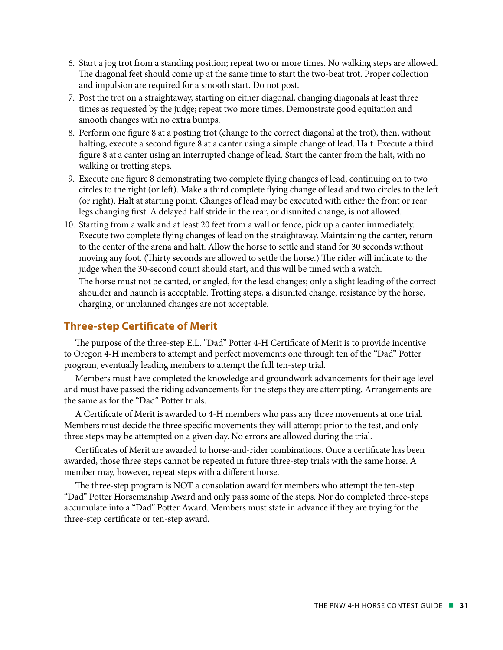- 6. Start a jog trot from a standing position; repeat two or more times. No walking steps are allowed. The diagonal feet should come up at the same time to start the two-beat trot. Proper collection and impulsion are required for a smooth start. Do not post.
- 7. Post the trot on a straightaway, starting on either diagonal, changing diagonals at least three times as requested by the judge; repeat two more times. Demonstrate good equitation and smooth changes with no extra bumps.
- 8. Perform one figure 8 at a posting trot (change to the correct diagonal at the trot), then, without halting, execute a second figure 8 at a canter using a simple change of lead. Halt. Execute a third figure 8 at a canter using an interrupted change of lead. Start the canter from the halt, with no walking or trotting steps.
- 9. Execute one figure 8 demonstrating two complete flying changes of lead, continuing on to two circles to the right (or left). Make a third complete flying change of lead and two circles to the left (or right). Halt at starting point. Changes of lead may be executed with either the front or rear legs changing first. A delayed half stride in the rear, or disunited change, is not allowed.
- 10. Starting from a walk and at least 20 feet from a wall or fence, pick up a canter immediately. Execute two complete flying changes of lead on the straightaway. Maintaining the canter, return to the center of the arena and halt. Allow the horse to settle and stand for 30 seconds without moving any foot. (Thirty seconds are allowed to settle the horse.) The rider will indicate to the judge when the 30-second count should start, and this will be timed with a watch. The horse must not be canted, or angled, for the lead changes; only a slight leading of the correct shoulder and haunch is acceptable. Trotting steps, a disunited change, resistance by the horse, charging, or unplanned changes are not acceptable.

#### **Three-step Certificate of Merit**

The purpose of the three-step E.L. "Dad" Potter 4-H Certificate of Merit is to provide incentive to Oregon 4-H members to attempt and perfect movements one through ten of the "Dad" Potter program, eventually leading members to attempt the full ten-step trial.

Members must have completed the knowledge and groundwork advancements for their age level and must have passed the riding advancements for the steps they are attempting. Arrangements are the same as for the "Dad" Potter trials.

A Certificate of Merit is awarded to 4-H members who pass any three movements at one trial. Members must decide the three specific movements they will attempt prior to the test, and only three steps may be attempted on a given day. No errors are allowed during the trial.

Certificates of Merit are awarded to horse-and-rider combinations. Once a certificate has been awarded, those three steps cannot be repeated in future three-step trials with the same horse. A member may, however, repeat steps with a different horse.

The three-step program is NOT a consolation award for members who attempt the ten-step "Dad" Potter Horsemanship Award and only pass some of the steps. Nor do completed three-steps accumulate into a "Dad" Potter Award. Members must state in advance if they are trying for the three-step certificate or ten-step award.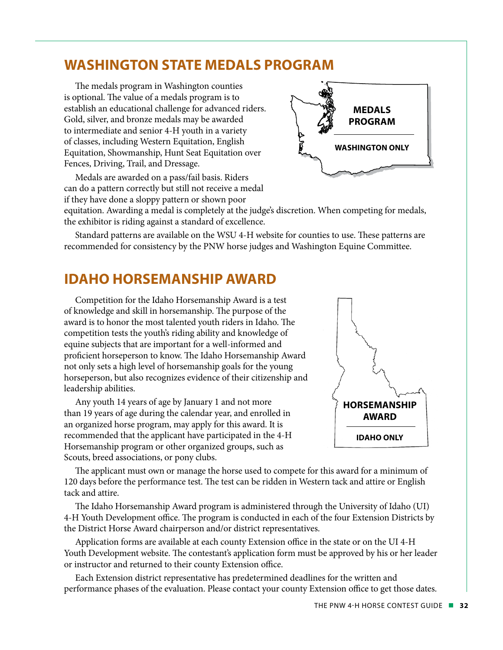# **WASHINGTON STATE MEDALS PROGRAM**

The medals program in Washington counties is optional. The value of a medals program is to establish an educational challenge for advanced riders. Gold, silver, and bronze medals may be awarded to intermediate and senior 4-H youth in a variety of classes, including Western Equitation, English Equitation, Showmanship, Hunt Seat Equitation over Fences, Driving, Trail, and Dressage.

Medals are awarded on a pass/fail basis. Riders can do a pattern correctly but still not receive a medal if they have done a sloppy pattern or shown poor



equitation. Awarding a medal is completely at the judge's discretion. When competing for medals, the exhibitor is riding against a standard of excellence.

Standard patterns are available on the WSU 4-H website for counties to use. These patterns are recommended for consistency by the PNW horse judges and Washington Equine Committee.

# **IDAHO HORSEMANSHIP AWARD**

Competition for the Idaho Horsemanship Award is a test of knowledge and skill in horsemanship. The purpose of the award is to honor the most talented youth riders in Idaho. The competition tests the youth's riding ability and knowledge of equine subjects that are important for a well-informed and proficient horseperson to know. The Idaho Horsemanship Award not only sets a high level of horsemanship goals for the young horseperson, but also recognizes evidence of their citizenship and leadership abilities.

Any youth 14 years of age by January 1 and not more than 19 years of age during the calendar year, and enrolled in an organized horse program, may apply for this award. It is recommended that the applicant have participated in the 4-H Horsemanship program or other organized groups, such as Scouts, breed associations, or pony clubs.



The applicant must own or manage the horse used to compete for this award for a minimum of 120 days before the performance test. The test can be ridden in Western tack and attire or English tack and attire.

The Idaho Horsemanship Award program is administered through the University of Idaho (UI) 4-H Youth Development office. The program is conducted in each of the four Extension Districts by the District Horse Award chairperson and/or district representatives.

Application forms are available at each county Extension office in the state or on the UI 4-H Youth Development website. The contestant's application form must be approved by his or her leader or instructor and returned to their county Extension office.

Each Extension district representative has predetermined deadlines for the written and performance phases of the evaluation. Please contact your county Extension office to get those dates.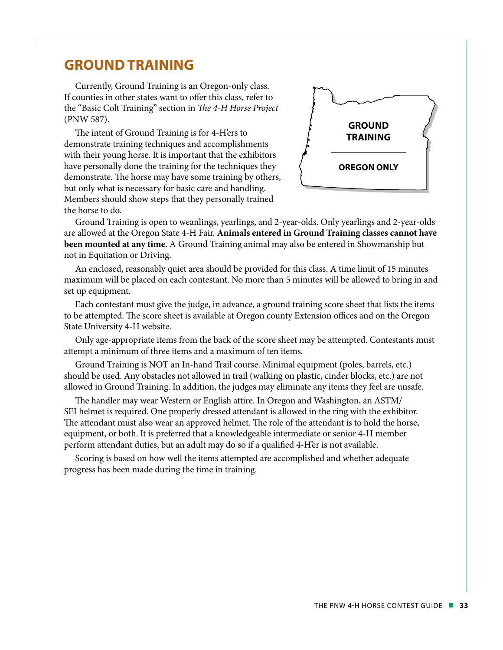# **GROUND TRAINING**

Currently, Ground Training is an Oregon-only class. If counties in other states want to offer this class, refer to the "Basic Colt Training" section in *The 4-H Horse Project* (PNW 587).

The intent of Ground Training is for 4-H'ers to demonstrate training techniques and accomplishments with their young horse. It is important that the exhibitors have personally done the training for the techniques they demonstrate. The horse may have some training by others, but only what is necessary for basic care and handling. Members should show steps that they personally trained the horse to do.



Ground Training is open to weanlings, yearlings, and 2-year-olds. Only yearlings and 2-year-olds are allowed at the Oregon State 4-H Fair. **Animals entered in Ground Training classes cannot have been mounted at any time.** A Ground Training animal may also be entered in Showmanship but not in Equitation or Driving.

An enclosed, reasonably quiet area should be provided for this class. A time limit of 15 minutes maximum will be placed on each contestant. No more than 5 minutes will be allowed to bring in and set up equipment.

Each contestant must give the judge, in advance, a ground training score sheet that lists the items to be attempted. The score sheet is available at Oregon county Extension offices and on the Oregon State University 4-H website.

Only age-appropriate items from the back of the score sheet may be attempted. Contestants must attempt a minimum of three items and a maximum of ten items.

Ground Training is NOT an In-hand Trail course. Minimal equipment (poles, barrels, etc.) should be used. Any obstacles not allowed in trail (walking on plastic, cinder blocks, etc.) are not allowed in Ground Training. In addition, the judges may eliminate any items they feel are unsafe.

The handler may wear Western or English attire. In Oregon and Washington, an ASTM/ SEI helmet is required. One properly dressed attendant is allowed in the ring with the exhibitor. The attendant must also wear an approved helmet. The role of the attendant is to hold the horse, equipment, or both. It is preferred that a knowledgeable intermediate or senior 4-H member perform attendant duties, but an adult may do so if a qualified 4-H'er is not available.

Scoring is based on how well the items attempted are accomplished and whether adequate progress has been made during the time in training.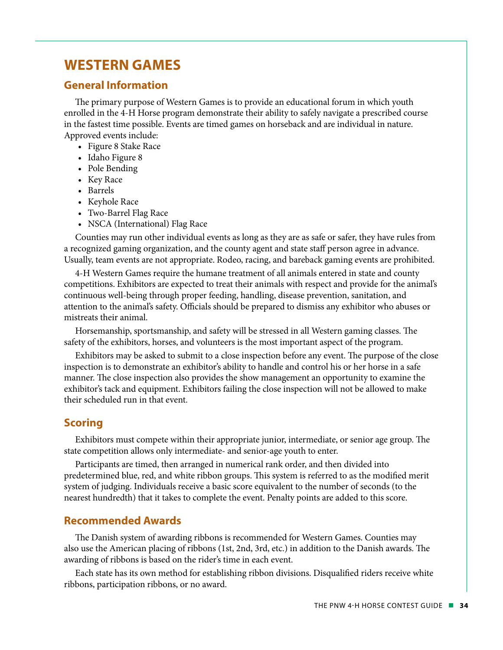# **WESTERN GAMES**

#### **General Information**

The primary purpose of Western Games is to provide an educational forum in which youth enrolled in the 4-H Horse program demonstrate their ability to safely navigate a prescribed course in the fastest time possible. Events are timed games on horseback and are individual in nature. Approved events include:

- Figure 8 Stake Race
- Idaho Figure 8
- Pole Bending
- Key Race
- Barrels
- Keyhole Race
- Two-Barrel Flag Race
- NSCA (International) Flag Race

Counties may run other individual events as long as they are as safe or safer, they have rules from a recognized gaming organization, and the county agent and state staff person agree in advance. Usually, team events are not appropriate. Rodeo, racing, and bareback gaming events are prohibited.

4-H Western Games require the humane treatment of all animals entered in state and county competitions. Exhibitors are expected to treat their animals with respect and provide for the animal's continuous well-being through proper feeding, handling, disease prevention, sanitation, and attention to the animal's safety. Officials should be prepared to dismiss any exhibitor who abuses or mistreats their animal.

Horsemanship, sportsmanship, and safety will be stressed in all Western gaming classes. The safety of the exhibitors, horses, and volunteers is the most important aspect of the program.

Exhibitors may be asked to submit to a close inspection before any event. The purpose of the close inspection is to demonstrate an exhibitor's ability to handle and control his or her horse in a safe manner. The close inspection also provides the show management an opportunity to examine the exhibitor's tack and equipment. Exhibitors failing the close inspection will not be allowed to make their scheduled run in that event.

#### **Scoring**

Exhibitors must compete within their appropriate junior, intermediate, or senior age group. The state competition allows only intermediate- and senior-age youth to enter.

Participants are timed, then arranged in numerical rank order, and then divided into predetermined blue, red, and white ribbon groups. This system is referred to as the modified merit system of judging. Individuals receive a basic score equivalent to the number of seconds (to the nearest hundredth) that it takes to complete the event. Penalty points are added to this score.

#### **Recommended Awards**

The Danish system of awarding ribbons is recommended for Western Games. Counties may also use the American placing of ribbons (1st, 2nd, 3rd, etc.) in addition to the Danish awards. The awarding of ribbons is based on the rider's time in each event.

Each state has its own method for establishing ribbon divisions. Disqualified riders receive white ribbons, participation ribbons, or no award.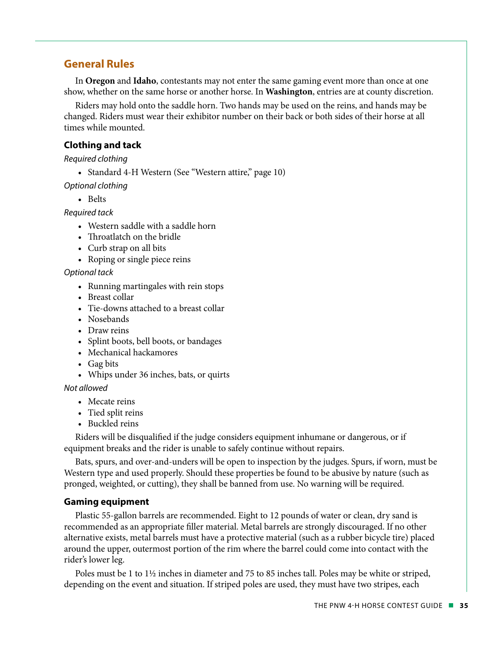#### **General Rules**

In **Oregon** and **Idaho**, contestants may not enter the same gaming event more than once at one show, whether on the same horse or another horse. In **Washington**, entries are at county discretion.

Riders may hold onto the saddle horn. Two hands may be used on the reins, and hands may be changed. Riders must wear their exhibitor number on their back or both sides of their horse at all times while mounted.

#### **Clothing and tack**

*Required clothing*

• Standard 4-H Western (See "Western attire," page 10)

*Optional clothing*

• Belts

*Required tack*

- Western saddle with a saddle horn
- Throatlatch on the bridle
- Curb strap on all bits
- Roping or single piece reins

#### *Optional tack*

- Running martingales with rein stops
- Breast collar
- Tie-downs attached to a breast collar
- Nosebands
- Draw reins
- Splint boots, bell boots, or bandages
- Mechanical hackamores
- Gag bits
- Whips under 36 inches, bats, or quirts

#### *Not allowed*

- Mecate reins
- Tied split reins
- Buckled reins

Riders will be disqualified if the judge considers equipment inhumane or dangerous, or if equipment breaks and the rider is unable to safely continue without repairs.

Bats, spurs, and over-and-unders will be open to inspection by the judges. Spurs, if worn, must be Western type and used properly. Should these properties be found to be abusive by nature (such as pronged, weighted, or cutting), they shall be banned from use. No warning will be required.

#### **Gaming equipment**

Plastic 55-gallon barrels are recommended. Eight to 12 pounds of water or clean, dry sand is recommended as an appropriate filler material. Metal barrels are strongly discouraged. If no other alternative exists, metal barrels must have a protective material (such as a rubber bicycle tire) placed around the upper, outermost portion of the rim where the barrel could come into contact with the rider's lower leg.

Poles must be 1 to 1½ inches in diameter and 75 to 85 inches tall. Poles may be white or striped, depending on the event and situation. If striped poles are used, they must have two stripes, each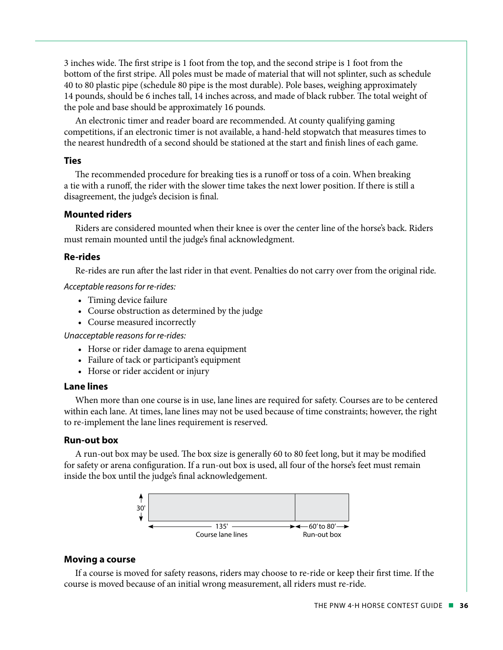3 inches wide. The first stripe is 1 foot from the top, and the second stripe is 1 foot from the bottom of the first stripe. All poles must be made of material that will not splinter, such as schedule 40 to 80 plastic pipe (schedule 80 pipe is the most durable). Pole bases, weighing approximately 14 pounds, should be 6 inches tall, 14 inches across, and made of black rubber. The total weight of the pole and base should be approximately 16 pounds.

An electronic timer and reader board are recommended. At county qualifying gaming competitions, if an electronic timer is not available, a hand-held stopwatch that measures times to the nearest hundredth of a second should be stationed at the start and finish lines of each game.

#### **Ties**

The recommended procedure for breaking ties is a runoff or toss of a coin. When breaking a tie with a runoff, the rider with the slower time takes the next lower position. If there is still a disagreement, the judge's decision is final.

#### **Mounted riders**

Riders are considered mounted when their knee is over the center line of the horse's back. Riders must remain mounted until the judge's final acknowledgment.

#### **Re-rides**

Re-rides are run after the last rider in that event. Penalties do not carry over from the original ride.

*Acceptable reasons for re-rides:* 

- Timing device failure
- Course obstruction as determined by the judge
- Course measured incorrectly

*Unacceptable reasons for re-rides:* 

- Horse or rider damage to arena equipment
- Failure of tack or participant's equipment
- Horse or rider accident or injury

#### **Lane lines**

When more than one course is in use, lane lines are required for safety. Courses are to be centered within each lane. At times, lane lines may not be used because of time constraints; however, the right to re-implement the lane lines requirement is reserved.

#### **Run-out box**

A run-out box may be used. The box size is generally 60 to 80 feet long, but it may be modified for safety or arena configuration. If a run-out box is used, all four of the horse's feet must remain inside the box until the judge's final acknowledgement.



#### **Moving a course**

If a course is moved for safety reasons, riders may choose to re-ride or keep their first time. If the course is moved because of an initial wrong measurement, all riders must re-ride.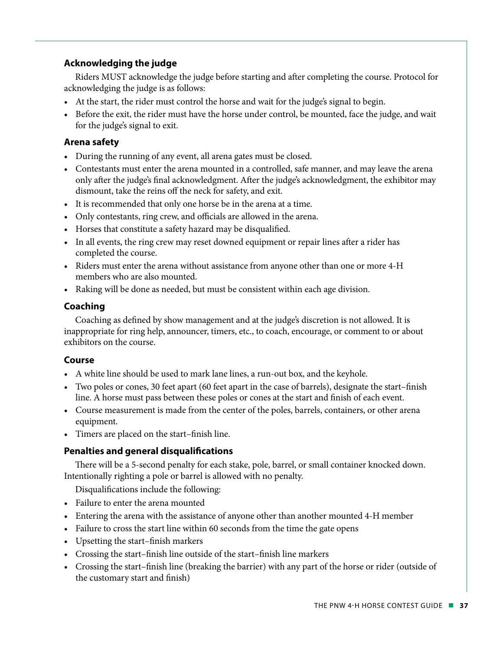#### **Acknowledging the judge**

Riders MUST acknowledge the judge before starting and after completing the course. Protocol for acknowledging the judge is as follows:

- At the start, the rider must control the horse and wait for the judge's signal to begin.
- Before the exit, the rider must have the horse under control, be mounted, face the judge, and wait for the judge's signal to exit.

#### **Arena safety**

- During the running of any event, all arena gates must be closed.
- Contestants must enter the arena mounted in a controlled, safe manner, and may leave the arena only after the judge's final acknowledgment. After the judge's acknowledgment, the exhibitor may dismount, take the reins off the neck for safety, and exit.
- It is recommended that only one horse be in the arena at a time.
- Only contestants, ring crew, and officials are allowed in the arena.
- Horses that constitute a safety hazard may be disqualified.
- In all events, the ring crew may reset downed equipment or repair lines after a rider has completed the course.
- Riders must enter the arena without assistance from anyone other than one or more 4-H members who are also mounted.
- Raking will be done as needed, but must be consistent within each age division.

#### **Coaching**

Coaching as defined by show management and at the judge's discretion is not allowed. It is inappropriate for ring help, announcer, timers, etc., to coach, encourage, or comment to or about exhibitors on the course.

#### **Course**

- A white line should be used to mark lane lines, a run-out box, and the keyhole.
- Two poles or cones, 30 feet apart (60 feet apart in the case of barrels), designate the start–finish line. A horse must pass between these poles or cones at the start and finish of each event.
- Course measurement is made from the center of the poles, barrels, containers, or other arena equipment.
- Timers are placed on the start–finish line.

#### **Penalties and general disqualifications**

There will be a 5-second penalty for each stake, pole, barrel, or small container knocked down. Intentionally righting a pole or barrel is allowed with no penalty.

Disqualifications include the following:

- Failure to enter the arena mounted
- Entering the arena with the assistance of anyone other than another mounted 4-H member
- Failure to cross the start line within 60 seconds from the time the gate opens
- Upsetting the start–finish markers
- Crossing the start–finish line outside of the start–finish line markers
- Crossing the start–finish line (breaking the barrier) with any part of the horse or rider (outside of the customary start and finish)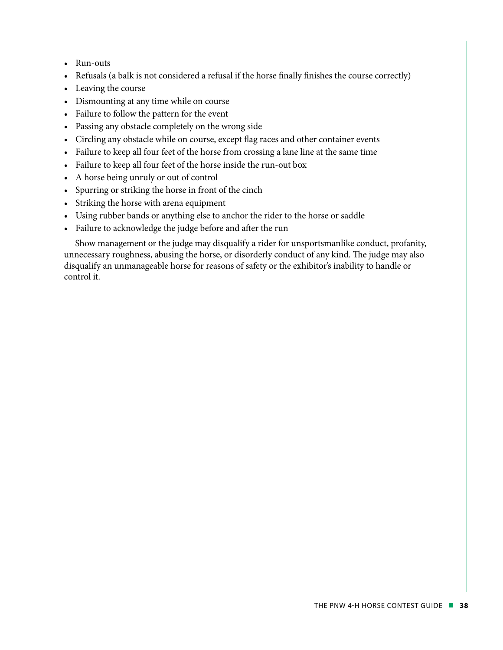- Run-outs
- Refusals (a balk is not considered a refusal if the horse finally finishes the course correctly)
- Leaving the course
- Dismounting at any time while on course
- Failure to follow the pattern for the event
- Passing any obstacle completely on the wrong side
- Circling any obstacle while on course, except flag races and other container events
- Failure to keep all four feet of the horse from crossing a lane line at the same time
- Failure to keep all four feet of the horse inside the run-out box
- A horse being unruly or out of control
- Spurring or striking the horse in front of the cinch
- Striking the horse with arena equipment
- Using rubber bands or anything else to anchor the rider to the horse or saddle
- Failure to acknowledge the judge before and after the run

Show management or the judge may disqualify a rider for unsportsmanlike conduct, profanity, unnecessary roughness, abusing the horse, or disorderly conduct of any kind. The judge may also disqualify an unmanageable horse for reasons of safety or the exhibitor's inability to handle or control it.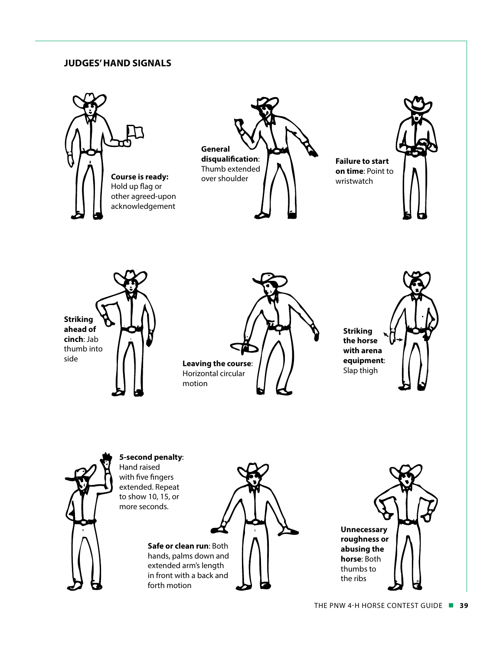#### **JUDGES' HAND SIGNALS**



forth motion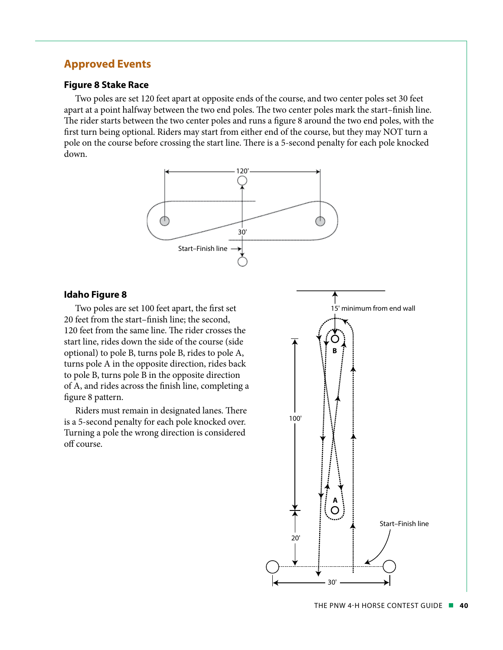#### **Approved Events**

#### **Figure 8 Stake Race**

Two poles are set 120 feet apart at opposite ends of the course, and two center poles set 30 feet apart at a point halfway between the two end poles. The two center poles mark the start–finish line. The rider starts between the two center poles and runs a figure 8 around the two end poles, with the first turn being optional. Riders may start from either end of the course, but they may NOT turn a pole on the course before crossing the start line. There is a 5-second penalty for each pole knocked down.



#### **Idaho Figure 8**

Two poles are set 100 feet apart, the first set 20 feet from the start–finish line; the second, 120 feet from the same line. The rider crosses the start line, rides down the side of the course (side optional) to pole B, turns pole B, rides to pole A, turns pole A in the opposite direction, rides back to pole B, turns pole B in the opposite direction of A, and rides across the finish line, completing a figure 8 pattern.

Riders must remain in designated lanes. There is a 5-second penalty for each pole knocked over. Turning a pole the wrong direction is considered off course.

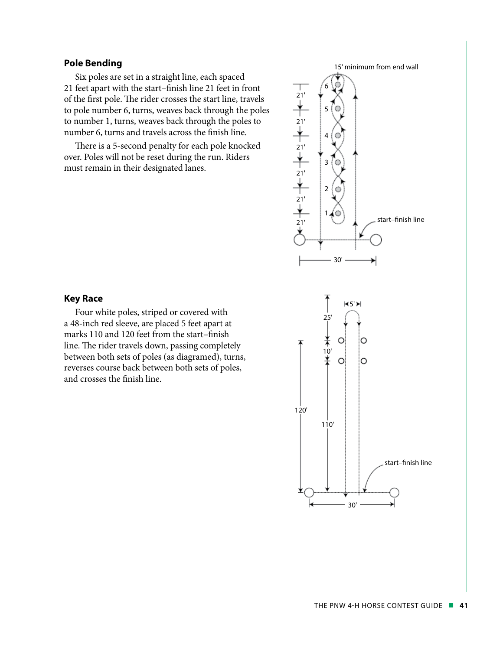#### **Pole Bending**

Six poles are set in a straight line, each spaced 21 feet apart with the start–finish line 21 feet in front of the first pole. The rider crosses the start line, travels to pole number 6, turns, weaves back through the poles to number 1, turns, weaves back through the poles to number 6, turns and travels across the finish line.

There is a 5-second penalty for each pole knocked over. Poles will not be reset during the run. Riders must remain in their designated lanes.



#### **Key Race**

Four white poles, striped or covered with a 48-inch red sleeve, are placed 5 feet apart at marks 110 and 120 feet from the start–finish line. The rider travels down, passing completely between both sets of poles (as diagramed), turns, reverses course back between both sets of poles, and crosses the finish line.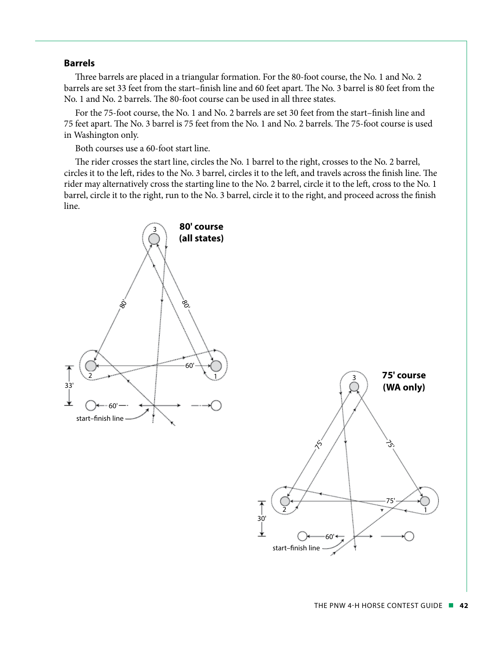#### **Barrels**

Three barrels are placed in a triangular formation. For the 80-foot course, the No. 1 and No. 2 barrels are set 33 feet from the start–finish line and 60 feet apart. The No. 3 barrel is 80 feet from the No. 1 and No. 2 barrels. The 80-foot course can be used in all three states.

For the 75-foot course, the No. 1 and No. 2 barrels are set 30 feet from the start–finish line and 75 feet apart. The No. 3 barrel is 75 feet from the No. 1 and No. 2 barrels. The 75-foot course is used in Washington only.

Both courses use a 60-foot start line.

The rider crosses the start line, circles the No. 1 barrel to the right, crosses to the No. 2 barrel, circles it to the left, rides to the No. 3 barrel, circles it to the left, and travels across the finish line. The rider may alternatively cross the starting line to the No. 2 barrel, circle it to the left, cross to the No. 1 barrel, circle it to the right, run to the No. 3 barrel, circle it to the right, and proceed across the finish line.



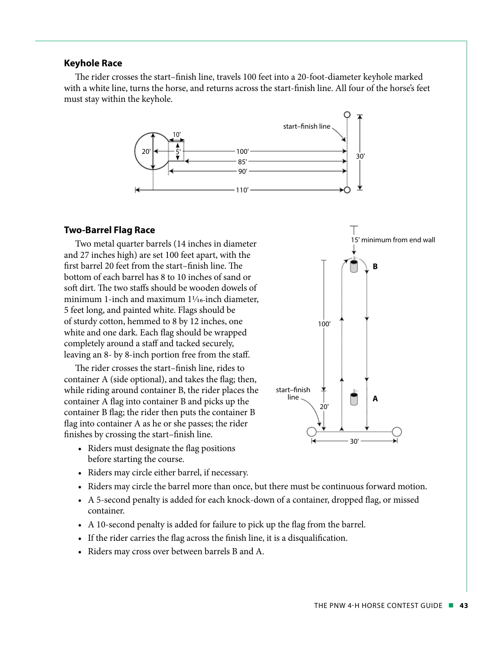#### **Keyhole Race**

The rider crosses the start–finish line, travels 100 feet into a 20-foot-diameter keyhole marked with a white line, turns the horse, and returns across the start-finish line. All four of the horse's feet must stay within the keyhole.



#### **Two-Barrel Flag Race**

Two metal quarter barrels (14 inches in diameter and 27 inches high) are set 100 feet apart, with the first barrel 20 feet from the start–finish line. The bottom of each barrel has 8 to 10 inches of sand or soft dirt. The two staffs should be wooden dowels of minimum 1-inch and maximum  $1\frac{1}{16}$ -inch diameter, 5 feet long, and painted white. Flags should be of sturdy cotton, hemmed to 8 by 12 inches, one white and one dark. Each flag should be wrapped completely around a staff and tacked securely, leaving an 8- by 8-inch portion free from the staff.

The rider crosses the start–finish line, rides to container A (side optional), and takes the flag; then, while riding around container B, the rider places the container A flag into container B and picks up the container B flag; the rider then puts the container B flag into container A as he or she passes; the rider finishes by crossing the start–finish line.

30' start–finish line 20'  $100'$ **B A**

15' minimum from end wall

- Riders must designate the flag positions before starting the course.
- Riders may circle either barrel, if necessary.
- Riders may circle the barrel more than once, but there must be continuous forward motion.
- A 5-second penalty is added for each knock-down of a container, dropped flag, or missed container.
- A 10-second penalty is added for failure to pick up the flag from the barrel.
- If the rider carries the flag across the finish line, it is a disqualification.
- Riders may cross over between barrels B and A.